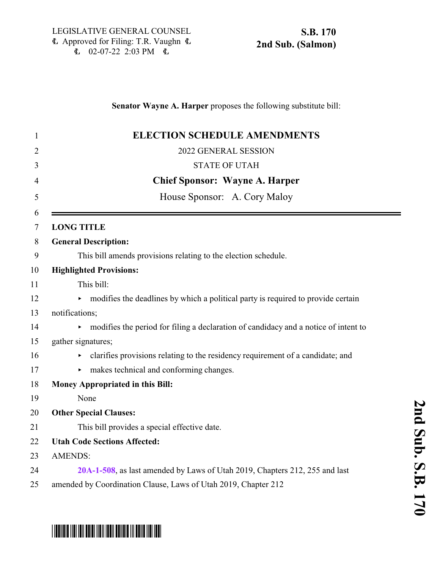## **Senator Wayne A. Harper** proposes the following substitute bill:

| <b>ELECTION SCHEDULE AMENDMENTS</b>                                                 |
|-------------------------------------------------------------------------------------|
| 2022 GENERAL SESSION                                                                |
| <b>STATE OF UTAH</b>                                                                |
| <b>Chief Sponsor: Wayne A. Harper</b>                                               |
| House Sponsor: A. Cory Maloy                                                        |
| <b>LONG TITLE</b>                                                                   |
| <b>General Description:</b>                                                         |
| This bill amends provisions relating to the election schedule.                      |
| <b>Highlighted Provisions:</b>                                                      |
| This bill:                                                                          |
| modifies the deadlines by which a political party is required to provide certain    |
| notifications;                                                                      |
| modifies the period for filing a declaration of candidacy and a notice of intent to |
| gather signatures;                                                                  |
| clarifies provisions relating to the residency requirement of a candidate; and      |
| makes technical and conforming changes.<br>Þ.                                       |
| <b>Money Appropriated in this Bill:</b>                                             |
| None                                                                                |
| <b>Other Special Clauses:</b>                                                       |
| This bill provides a special effective date.                                        |
| <b>Utah Code Sections Affected:</b>                                                 |
| <b>AMENDS:</b>                                                                      |
| 20A-1-508, as last amended by Laws of Utah 2019, Chapters 212, 255 and last         |
| amended by Coordination Clause, Laws of Utah 2019, Chapter 212                      |

# \*SB0170S02\*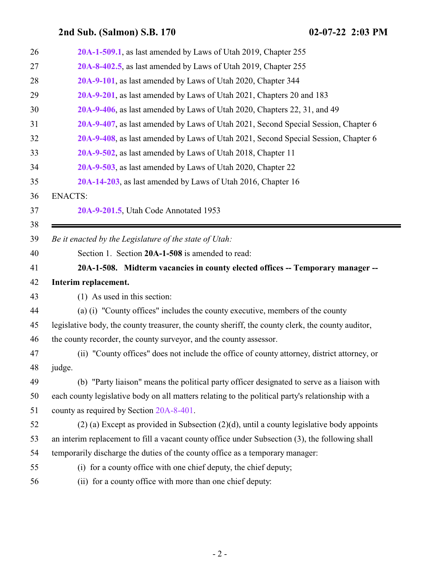<span id="page-1-0"></span>

| 26 | 20A-1-509.1, as last amended by Laws of Utah 2019, Chapter 255                                    |
|----|---------------------------------------------------------------------------------------------------|
| 27 | 20A-8-402.5, as last amended by Laws of Utah 2019, Chapter 255                                    |
| 28 | 20A-9-101, as last amended by Laws of Utah 2020, Chapter 344                                      |
| 29 | 20A-9-201, as last amended by Laws of Utah 2021, Chapters 20 and 183                              |
| 30 | 20A-9-406, as last amended by Laws of Utah 2020, Chapters 22, 31, and 49                          |
| 31 | 20A-9-407, as last amended by Laws of Utah 2021, Second Special Session, Chapter 6                |
| 32 | 20A-9-408, as last amended by Laws of Utah 2021, Second Special Session, Chapter 6                |
| 33 | 20A-9-502, as last amended by Laws of Utah 2018, Chapter 11                                       |
| 34 | 20A-9-503, as last amended by Laws of Utah 2020, Chapter 22                                       |
| 35 | 20A-14-203, as last amended by Laws of Utah 2016, Chapter 16                                      |
| 36 | <b>ENACTS:</b>                                                                                    |
| 37 | 20A-9-201.5, Utah Code Annotated 1953                                                             |
| 38 |                                                                                                   |
| 39 | Be it enacted by the Legislature of the state of Utah:                                            |
| 40 | Section 1. Section 20A-1-508 is amended to read:                                                  |
| 41 | 20A-1-508. Midterm vacancies in county elected offices -- Temporary manager --                    |
| 42 | Interim replacement.                                                                              |
| 43 | (1) As used in this section:                                                                      |
| 44 | (a) (i) "County offices" includes the county executive, members of the county                     |
| 45 | legislative body, the county treasurer, the county sheriff, the county clerk, the county auditor, |
| 46 | the county recorder, the county surveyor, and the county assessor.                                |
| 47 | (ii) "County offices" does not include the office of county attorney, district attorney, or       |
| 48 | judge.                                                                                            |
| 49 | (b) "Party liaison" means the political party officer designated to serve as a liaison with       |
| 50 | each county legislative body on all matters relating to the political party's relationship with a |
| 51 | county as required by Section 20A-8-401.                                                          |
| 52 | $(2)$ (a) Except as provided in Subsection $(2)(d)$ , until a county legislative body appoints    |
| 53 | an interim replacement to fill a vacant county office under Subsection (3), the following shall   |
| 54 | temporarily discharge the duties of the county office as a temporary manager:                     |
| 55 | (i) for a county office with one chief deputy, the chief deputy;                                  |
| 56 | (ii) for a county office with more than one chief deputy:                                         |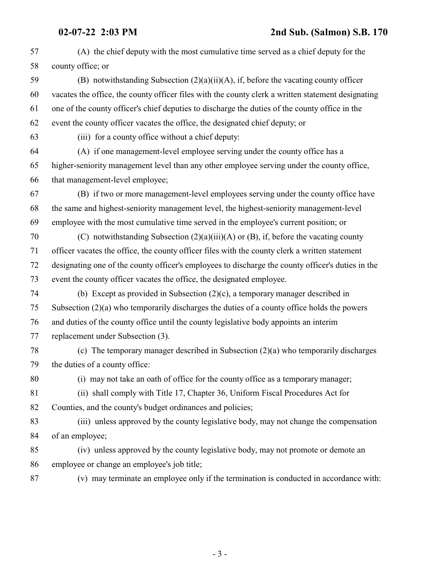(A) the chief deputy with the most cumulative time served as a chief deputy for the county office; or

 (B) notwithstanding Subsection (2)(a)(ii)(A), if, before the vacating county officer vacates the office, the county officer files with the county clerk a written statement designating one of the county officer's chief deputies to discharge the duties of the county office in the event the county officer vacates the office, the designated chief deputy; or

(iii) for a county office without a chief deputy:

 (A) if one management-level employee serving under the county office has a higher-seniority management level than any other employee serving under the county office, that management-level employee;

 (B) if two or more management-level employees serving under the county office have the same and highest-seniority management level, the highest-seniority management-level employee with the most cumulative time served in the employee's current position; or

 (C) notwithstanding Subsection (2)(a)(iii)(A) or (B), if, before the vacating county officer vacates the office, the county officer files with the county clerk a written statement designating one of the county officer's employees to discharge the county officer's duties in the event the county officer vacates the office, the designated employee.

 (b) Except as provided in Subsection (2)(c), a temporary manager described in Subsection (2)(a) who temporarily discharges the duties of a county office holds the powers and duties of the county office until the county legislative body appoints an interim replacement under Subsection (3).

 (c) The temporary manager described in Subsection (2)(a) who temporarily discharges the duties of a county office:

(i) may not take an oath of office for the county office as a temporary manager;

 (ii) shall comply with Title 17, Chapter 36, Uniform Fiscal Procedures Act for Counties, and the county's budget ordinances and policies;

 (iii) unless approved by the county legislative body, may not change the compensation of an employee;

 (iv) unless approved by the county legislative body, may not promote or demote an employee or change an employee's job title;

(v) may terminate an employee only if the termination is conducted in accordance with: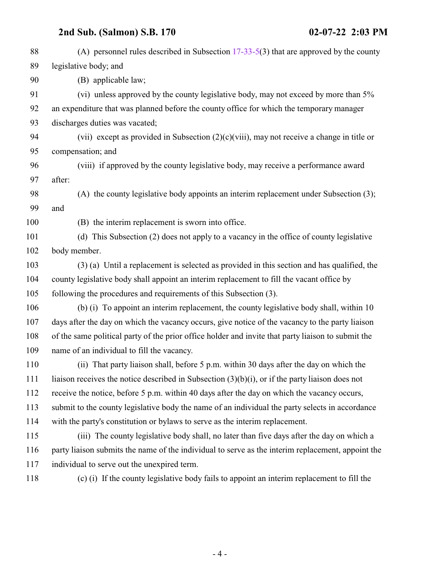(A) personnel rules described in Subsection [17-33-5](http://le.utah.gov/UtahCode/SectionLookup.jsp?section=17-33-5&session=2022GS)(3) that are approved by the county legislative body; and (B) applicable law; (vi) unless approved by the county legislative body, may not exceed by more than 5% an expenditure that was planned before the county office for which the temporary manager discharges duties was vacated; (vii) except as provided in Subsection (2)(c)(viii), may not receive a change in title or compensation; and (viii) if approved by the county legislative body, may receive a performance award after: (A) the county legislative body appoints an interim replacement under Subsection (3); and (B) the interim replacement is sworn into office. (d) This Subsection (2) does not apply to a vacancy in the office of county legislative body member. (3) (a) Until a replacement is selected as provided in this section and has qualified, the county legislative body shall appoint an interim replacement to fill the vacant office by following the procedures and requirements of this Subsection (3). (b) (i) To appoint an interim replacement, the county legislative body shall, within 10 days after the day on which the vacancy occurs, give notice of the vacancy to the party liaison of the same political party of the prior office holder and invite that party liaison to submit the name of an individual to fill the vacancy. (ii) That party liaison shall, before 5 p.m. within 30 days after the day on which the liaison receives the notice described in Subsection (3)(b)(i), or if the party liaison does not receive the notice, before 5 p.m. within 40 days after the day on which the vacancy occurs, submit to the county legislative body the name of an individual the party selects in accordance with the party's constitution or bylaws to serve as the interim replacement. (iii) The county legislative body shall, no later than five days after the day on which a party liaison submits the name of the individual to serve as the interim replacement, appoint the individual to serve out the unexpired term.

(c) (i) If the county legislative body fails to appoint an interim replacement to fill the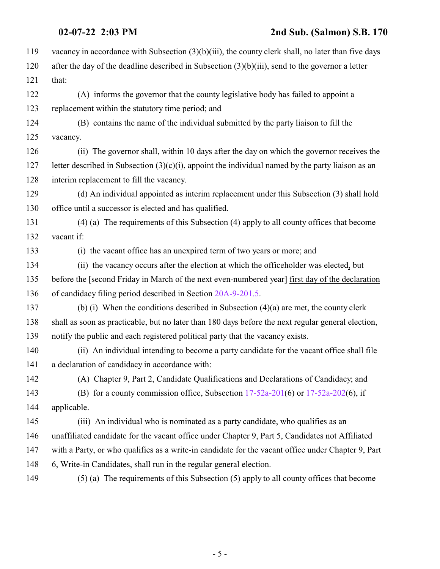| 119 | vacancy in accordance with Subsection $(3)(b)(iii)$ , the county clerk shall, no later than five days |
|-----|-------------------------------------------------------------------------------------------------------|
| 120 | after the day of the deadline described in Subsection $(3)(b)(iii)$ , send to the governor a letter   |
| 121 | that:                                                                                                 |
| 122 | (A) informs the governor that the county legislative body has failed to appoint a                     |
| 123 | replacement within the statutory time period; and                                                     |
| 124 | (B) contains the name of the individual submitted by the party liaison to fill the                    |
| 125 | vacancy.                                                                                              |
| 126 | (ii) The governor shall, within 10 days after the day on which the governor receives the              |
| 127 | letter described in Subsection $(3)(c)(i)$ , appoint the individual named by the party liaison as an  |
| 128 | interim replacement to fill the vacancy.                                                              |
| 129 | (d) An individual appointed as interim replacement under this Subsection (3) shall hold               |
| 130 | office until a successor is elected and has qualified.                                                |
| 131 | $(4)$ (a) The requirements of this Subsection (4) apply to all county offices that become             |
| 132 | vacant if:                                                                                            |
| 133 | (i) the vacant office has an unexpired term of two years or more; and                                 |
| 134 | (ii) the vacancy occurs after the election at which the officeholder was elected, but                 |
| 135 | before the [second Friday in March of the next even-numbered year] first day of the declaration       |
| 136 | of candidacy filing period described in Section 20A-9-201.5.                                          |
| 137 | (b) (i) When the conditions described in Subsection $(4)(a)$ are met, the county clerk                |
| 138 | shall as soon as practicable, but no later than 180 days before the next regular general election,    |
| 139 | notify the public and each registered political party that the vacancy exists.                        |
| 140 | (ii) An individual intending to become a party candidate for the vacant office shall file             |
| 141 | a declaration of candidacy in accordance with:                                                        |
| 142 | (A) Chapter 9, Part 2, Candidate Qualifications and Declarations of Candidacy; and                    |
| 143 | (B) for a county commission office, Subsection $17-52a-201(6)$ or $17-52a-202(6)$ , if                |
| 144 | applicable.                                                                                           |
| 145 | (iii) An individual who is nominated as a party candidate, who qualifies as an                        |
| 146 | unaffiliated candidate for the vacant office under Chapter 9, Part 5, Candidates not Affiliated       |
| 147 | with a Party, or who qualifies as a write-in candidate for the vacant office under Chapter 9, Part    |
| 148 | 6, Write-in Candidates, shall run in the regular general election.                                    |
| 149 | $(5)$ (a) The requirements of this Subsection $(5)$ apply to all county offices that become           |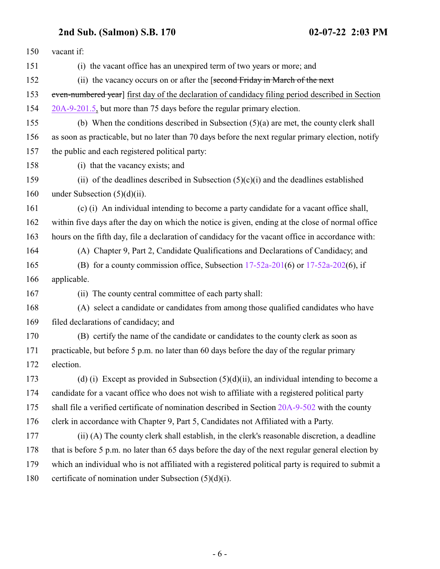| 150 | vacant if:                                                                                          |
|-----|-----------------------------------------------------------------------------------------------------|
| 151 | (i) the vacant office has an unexpired term of two years or more; and                               |
| 152 | (ii) the vacancy occurs on or after the [second Friday in March of the next                         |
| 153 | even-numbered year] first day of the declaration of candidacy filing period described in Section    |
| 154 | 20A-9-201.5, but more than 75 days before the regular primary election.                             |
| 155 | (b) When the conditions described in Subsection $(5)(a)$ are met, the county clerk shall            |
| 156 | as soon as practicable, but no later than 70 days before the next regular primary election, notify  |
| 157 | the public and each registered political party:                                                     |
| 158 | (i) that the vacancy exists; and                                                                    |
| 159 | (ii) of the deadlines described in Subsection $(5)(c)(i)$ and the deadlines established             |
| 160 | under Subsection $(5)(d)(ii)$ .                                                                     |
| 161 | (c) (i) An individual intending to become a party candidate for a vacant office shall,              |
| 162 | within five days after the day on which the notice is given, ending at the close of normal office   |
| 163 | hours on the fifth day, file a declaration of candidacy for the vacant office in accordance with:   |
| 164 | (A) Chapter 9, Part 2, Candidate Qualifications and Declarations of Candidacy; and                  |
| 165 | (B) for a county commission office, Subsection $17-52a-201(6)$ or $17-52a-202(6)$ , if              |
| 166 | applicable.                                                                                         |
| 167 | (ii) The county central committee of each party shall:                                              |
| 168 | (A) select a candidate or candidates from among those qualified candidates who have                 |
| 169 | filed declarations of candidacy; and                                                                |
| 170 | (B) certify the name of the candidate or candidates to the county clerk as soon as                  |
| 171 | practicable, but before 5 p.m. no later than 60 days before the day of the regular primary          |
| 172 | election.                                                                                           |
| 173 | (d) (i) Except as provided in Subsection $(5)(d)(ii)$ , an individual intending to become a         |
| 174 | candidate for a vacant office who does not wish to affiliate with a registered political party      |
| 175 | shall file a verified certificate of nomination described in Section 20A-9-502 with the county      |
| 176 | clerk in accordance with Chapter 9, Part 5, Candidates not Affiliated with a Party.                 |
| 177 | (ii) (A) The county clerk shall establish, in the clerk's reasonable discretion, a deadline         |
| 178 | that is before 5 p.m. no later than 65 days before the day of the next regular general election by  |
| 179 | which an individual who is not affiliated with a registered political party is required to submit a |
| 180 | certificate of nomination under Subsection (5)(d)(i).                                               |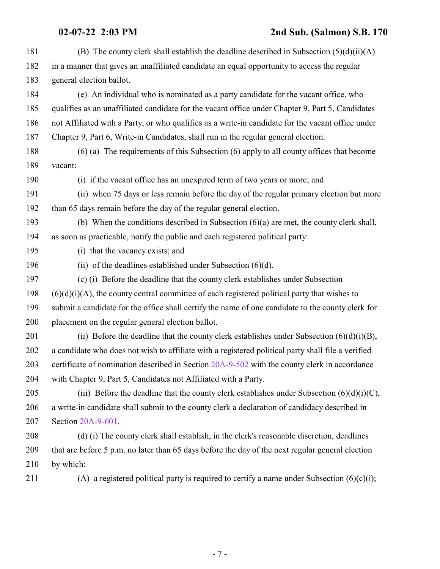| 181 | (B) The county clerk shall establish the deadline described in Subsection $(5)(d)(ii)(A)$          |
|-----|----------------------------------------------------------------------------------------------------|
| 182 | in a manner that gives an unaffiliated candidate an equal opportunity to access the regular        |
| 183 | general election ballot.                                                                           |
| 184 | (e) An individual who is nominated as a party candidate for the vacant office, who                 |
| 185 | qualifies as an unaffiliated candidate for the vacant office under Chapter 9, Part 5, Candidates   |
| 186 | not Affiliated with a Party, or who qualifies as a write-in candidate for the vacant office under  |
| 187 | Chapter 9, Part 6, Write-in Candidates, shall run in the regular general election.                 |
| 188 | $(6)$ (a) The requirements of this Subsection $(6)$ apply to all county offices that become        |
| 189 | vacant:                                                                                            |
| 190 | (i) if the vacant office has an unexpired term of two years or more; and                           |
| 191 | (ii) when 75 days or less remain before the day of the regular primary election but more           |
| 192 | than 65 days remain before the day of the regular general election.                                |
| 193 | (b) When the conditions described in Subsection $(6)(a)$ are met, the county clerk shall,          |
| 194 | as soon as practicable, notify the public and each registered political party:                     |
| 195 | (i) that the vacancy exists; and                                                                   |
| 196 | (ii) of the deadlines established under Subsection $(6)(d)$ .                                      |
| 197 | (c) (i) Before the deadline that the county clerk establishes under Subsection                     |
| 198 | $(6)(d)(i)(A)$ , the county central committee of each registered political party that wishes to    |
| 199 | submit a candidate for the office shall certify the name of one candidate to the county clerk for  |
| 200 | placement on the regular general election ballot.                                                  |
| 201 | (ii) Before the deadline that the county clerk establishes under Subsection $(6)(d)(i)(B)$ ,       |
| 202 | a candidate who does not wish to affiliate with a registered political party shall file a verified |
| 203 | certificate of nomination described in Section 20A-9-502 with the county clerk in accordance       |
| 204 | with Chapter 9, Part 5, Candidates not Affiliated with a Party.                                    |
| 205 | (iii) Before the deadline that the county clerk establishes under Subsection $(6)(d)(i)(C)$ ,      |
| 206 | a write-in candidate shall submit to the county clerk a declaration of candidacy described in      |
| 207 | Section 20A-9-601.                                                                                 |
| 208 | (d) (i) The county clerk shall establish, in the clerk's reasonable discretion, deadlines          |
| 209 | that are before 5 p.m. no later than 65 days before the day of the next regular general election   |
| 210 | by which:                                                                                          |
| 211 | (A) a registered political party is required to certify a name under Subsection $(6)(c)(i)$ ;      |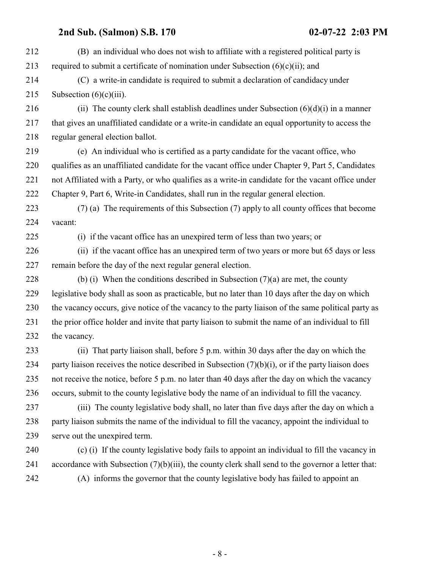| 212 | (B) an individual who does not wish to affiliate with a registered political party is                 |
|-----|-------------------------------------------------------------------------------------------------------|
| 213 | required to submit a certificate of nomination under Subsection $(6)(c)(ii)$ ; and                    |
| 214 | (C) a write-in candidate is required to submit a declaration of candidacy under                       |
| 215 | Subsection $(6)(c)(iii)$ .                                                                            |
| 216 | (ii) The county clerk shall establish deadlines under Subsection $(6)(d)(i)$ in a manner              |
| 217 | that gives an unaffiliated candidate or a write-in candidate an equal opportunity to access the       |
| 218 | regular general election ballot.                                                                      |
| 219 | (e) An individual who is certified as a party candidate for the vacant office, who                    |
| 220 | qualifies as an unaffiliated candidate for the vacant office under Chapter 9, Part 5, Candidates      |
| 221 | not Affiliated with a Party, or who qualifies as a write-in candidate for the vacant office under     |
| 222 | Chapter 9, Part 6, Write-in Candidates, shall run in the regular general election.                    |
| 223 | (7) (a) The requirements of this Subsection (7) apply to all county offices that become               |
| 224 | vacant:                                                                                               |
| 225 | (i) if the vacant office has an unexpired term of less than two years; or                             |
| 226 | (ii) if the vacant office has an unexpired term of two years or more but 65 days or less              |
| 227 | remain before the day of the next regular general election.                                           |
| 228 | (b) (i) When the conditions described in Subsection $(7)(a)$ are met, the county                      |
| 229 | legislative body shall as soon as practicable, but no later than 10 days after the day on which       |
| 230 | the vacancy occurs, give notice of the vacancy to the party liaison of the same political party as    |
| 231 | the prior office holder and invite that party liaison to submit the name of an individual to fill     |
| 232 | the vacancy.                                                                                          |
| 233 | (ii) That party liaison shall, before 5 p.m. within 30 days after the day on which the                |
| 234 | party liaison receives the notice described in Subsection $(7)(b)(i)$ , or if the party liaison does  |
| 235 | not receive the notice, before 5 p.m. no later than 40 days after the day on which the vacancy        |
| 236 | occurs, submit to the county legislative body the name of an individual to fill the vacancy.          |
| 237 | (iii) The county legislative body shall, no later than five days after the day on which a             |
| 238 | party liaison submits the name of the individual to fill the vacancy, appoint the individual to       |
| 239 | serve out the unexpired term.                                                                         |
| 240 | (c) (i) If the county legislative body fails to appoint an individual to fill the vacancy in          |
| 241 | accordance with Subsection $(7)(b)(iii)$ , the county clerk shall send to the governor a letter that: |
| 242 | (A) informs the governor that the county legislative body has failed to appoint an                    |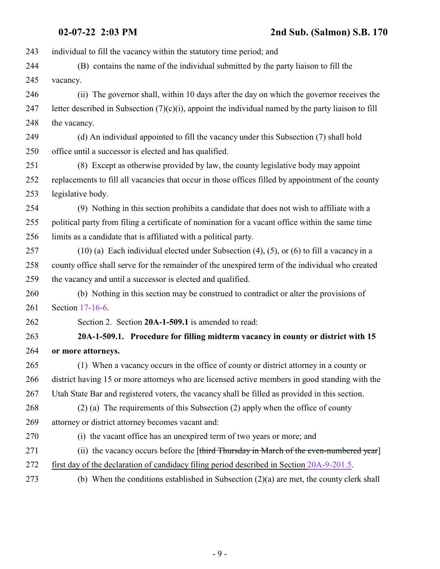<span id="page-8-0"></span> individual to fill the vacancy within the statutory time period; and (B) contains the name of the individual submitted by the party liaison to fill the vacancy. (ii) The governor shall, within 10 days after the day on which the governor receives the 247 letter described in Subsection  $(7)(c)(i)$ , appoint the individual named by the party liaison to fill the vacancy. (d) An individual appointed to fill the vacancy under this Subsection (7) shall hold office until a successor is elected and has qualified. (8) Except as otherwise provided by law, the county legislative body may appoint replacements to fill all vacancies that occur in those offices filled by appointment of the county legislative body. (9) Nothing in this section prohibits a candidate that does not wish to affiliate with a political party from filing a certificate of nomination for a vacant office within the same time limits as a candidate that is affiliated with a political party. (10) (a) Each individual elected under Subsection (4), (5), or (6) to fill a vacancy in a county office shall serve for the remainder of the unexpired term of the individual who created the vacancy and until a successor is elected and qualified. (b) Nothing in this section may be construed to contradict or alter the provisions of Section [17-16-6](http://le.utah.gov/UtahCode/SectionLookup.jsp?section=17-16-6&session=2022GS). Section 2. Section **20A-1-509.1** is amended to read: **20A-1-509.1. Procedure for filling midterm vacancy in county or district with 15 or more attorneys.** (1) When a vacancy occurs in the office of county or district attorney in a county or district having 15 or more attorneys who are licensed active members in good standing with the Utah State Bar and registered voters, the vacancy shall be filled as provided in this section. (2) (a) The requirements of this Subsection (2) apply when the office of county attorney or district attorney becomes vacant and: (i) the vacant office has an unexpired term of two years or more; and 271 (ii) the vacancy occurs before the [third Thursday in March of the even-numbered year] first day of the declaration of candidacy filing period described in Section [20A-9-201.5](#page-20-1). (b) When the conditions established in Subsection (2)(a) are met, the county clerk shall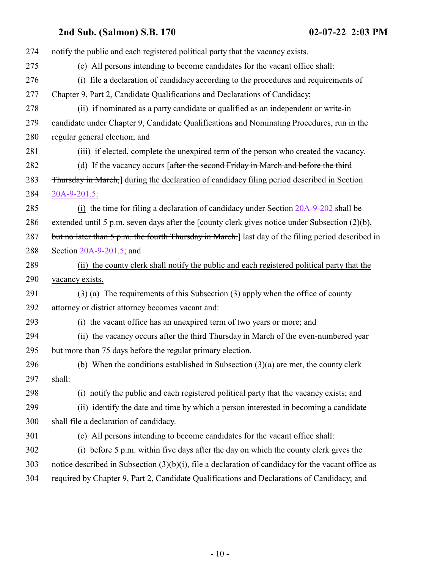| (c) All persons intending to become candidates for the vacant office shall:<br>(i) file a declaration of candidacy according to the procedures and requirements of<br>(ii) if nominated as a party candidate or qualified as an independent or write-in<br>candidate under Chapter 9, Candidate Qualifications and Nominating Procedures, run in the<br>(iii) if elected, complete the unexpired term of the person who created the vacancy.<br>(d) If the vacancy occurs [after the second Friday in March and before the third<br><b>Thursday in March,</b> during the declaration of candidacy filing period described in Section<br>$(i)$ the time for filing a declaration of candidacy under Section 20A-9-202 shall be<br>extended until 5 p.m. seven days after the [county clerk gives notice under Subsection $(2)(b)$ ,<br>but no later than 5 p.m. the fourth Thursday in March.] last day of the filing period described in |
|------------------------------------------------------------------------------------------------------------------------------------------------------------------------------------------------------------------------------------------------------------------------------------------------------------------------------------------------------------------------------------------------------------------------------------------------------------------------------------------------------------------------------------------------------------------------------------------------------------------------------------------------------------------------------------------------------------------------------------------------------------------------------------------------------------------------------------------------------------------------------------------------------------------------------------------|
|                                                                                                                                                                                                                                                                                                                                                                                                                                                                                                                                                                                                                                                                                                                                                                                                                                                                                                                                          |
|                                                                                                                                                                                                                                                                                                                                                                                                                                                                                                                                                                                                                                                                                                                                                                                                                                                                                                                                          |
|                                                                                                                                                                                                                                                                                                                                                                                                                                                                                                                                                                                                                                                                                                                                                                                                                                                                                                                                          |
|                                                                                                                                                                                                                                                                                                                                                                                                                                                                                                                                                                                                                                                                                                                                                                                                                                                                                                                                          |
|                                                                                                                                                                                                                                                                                                                                                                                                                                                                                                                                                                                                                                                                                                                                                                                                                                                                                                                                          |
|                                                                                                                                                                                                                                                                                                                                                                                                                                                                                                                                                                                                                                                                                                                                                                                                                                                                                                                                          |
|                                                                                                                                                                                                                                                                                                                                                                                                                                                                                                                                                                                                                                                                                                                                                                                                                                                                                                                                          |
|                                                                                                                                                                                                                                                                                                                                                                                                                                                                                                                                                                                                                                                                                                                                                                                                                                                                                                                                          |
|                                                                                                                                                                                                                                                                                                                                                                                                                                                                                                                                                                                                                                                                                                                                                                                                                                                                                                                                          |
|                                                                                                                                                                                                                                                                                                                                                                                                                                                                                                                                                                                                                                                                                                                                                                                                                                                                                                                                          |
|                                                                                                                                                                                                                                                                                                                                                                                                                                                                                                                                                                                                                                                                                                                                                                                                                                                                                                                                          |
|                                                                                                                                                                                                                                                                                                                                                                                                                                                                                                                                                                                                                                                                                                                                                                                                                                                                                                                                          |
|                                                                                                                                                                                                                                                                                                                                                                                                                                                                                                                                                                                                                                                                                                                                                                                                                                                                                                                                          |
|                                                                                                                                                                                                                                                                                                                                                                                                                                                                                                                                                                                                                                                                                                                                                                                                                                                                                                                                          |
| (ii) the county clerk shall notify the public and each registered political party that the                                                                                                                                                                                                                                                                                                                                                                                                                                                                                                                                                                                                                                                                                                                                                                                                                                               |
|                                                                                                                                                                                                                                                                                                                                                                                                                                                                                                                                                                                                                                                                                                                                                                                                                                                                                                                                          |
| $(3)$ (a) The requirements of this Subsection (3) apply when the office of county                                                                                                                                                                                                                                                                                                                                                                                                                                                                                                                                                                                                                                                                                                                                                                                                                                                        |
|                                                                                                                                                                                                                                                                                                                                                                                                                                                                                                                                                                                                                                                                                                                                                                                                                                                                                                                                          |
|                                                                                                                                                                                                                                                                                                                                                                                                                                                                                                                                                                                                                                                                                                                                                                                                                                                                                                                                          |
| (ii) the vacancy occurs after the third Thursday in March of the even-numbered year                                                                                                                                                                                                                                                                                                                                                                                                                                                                                                                                                                                                                                                                                                                                                                                                                                                      |
|                                                                                                                                                                                                                                                                                                                                                                                                                                                                                                                                                                                                                                                                                                                                                                                                                                                                                                                                          |
| (b) When the conditions established in Subsection $(3)(a)$ are met, the county clerk                                                                                                                                                                                                                                                                                                                                                                                                                                                                                                                                                                                                                                                                                                                                                                                                                                                     |
|                                                                                                                                                                                                                                                                                                                                                                                                                                                                                                                                                                                                                                                                                                                                                                                                                                                                                                                                          |
| (i) notify the public and each registered political party that the vacancy exists; and                                                                                                                                                                                                                                                                                                                                                                                                                                                                                                                                                                                                                                                                                                                                                                                                                                                   |
| (ii) identify the date and time by which a person interested in becoming a candidate                                                                                                                                                                                                                                                                                                                                                                                                                                                                                                                                                                                                                                                                                                                                                                                                                                                     |
|                                                                                                                                                                                                                                                                                                                                                                                                                                                                                                                                                                                                                                                                                                                                                                                                                                                                                                                                          |
| (c) All persons intending to become candidates for the vacant office shall:                                                                                                                                                                                                                                                                                                                                                                                                                                                                                                                                                                                                                                                                                                                                                                                                                                                              |
| (i) before 5 p.m. within five days after the day on which the county clerk gives the                                                                                                                                                                                                                                                                                                                                                                                                                                                                                                                                                                                                                                                                                                                                                                                                                                                     |
| notice described in Subsection $(3)(b)(i)$ , file a declaration of candidacy for the vacant office as                                                                                                                                                                                                                                                                                                                                                                                                                                                                                                                                                                                                                                                                                                                                                                                                                                    |
| required by Chapter 9, Part 2, Candidate Qualifications and Declarations of Candidacy; and                                                                                                                                                                                                                                                                                                                                                                                                                                                                                                                                                                                                                                                                                                                                                                                                                                               |
|                                                                                                                                                                                                                                                                                                                                                                                                                                                                                                                                                                                                                                                                                                                                                                                                                                                                                                                                          |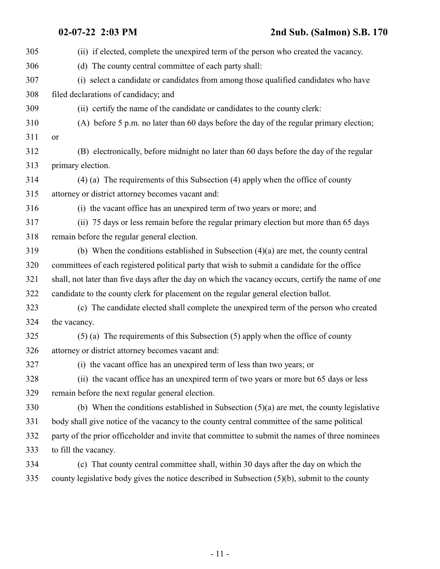| 305 | (ii) if elected, complete the unexpired term of the person who created the vacancy.                |
|-----|----------------------------------------------------------------------------------------------------|
| 306 | (d) The county central committee of each party shall:                                              |
| 307 | (i) select a candidate or candidates from among those qualified candidates who have                |
| 308 | filed declarations of candidacy; and                                                               |
| 309 | (ii) certify the name of the candidate or candidates to the county clerk:                          |
| 310 | (A) before 5 p.m. no later than 60 days before the day of the regular primary election;            |
| 311 | or                                                                                                 |
| 312 | (B) electronically, before midnight no later than 60 days before the day of the regular            |
| 313 | primary election.                                                                                  |
| 314 | $(4)$ (a) The requirements of this Subsection (4) apply when the office of county                  |
| 315 | attorney or district attorney becomes vacant and:                                                  |
| 316 | (i) the vacant office has an unexpired term of two years or more; and                              |
| 317 | (ii) 75 days or less remain before the regular primary election but more than 65 days              |
| 318 | remain before the regular general election.                                                        |
| 319 | (b) When the conditions established in Subsection $(4)(a)$ are met, the county central             |
| 320 | committees of each registered political party that wish to submit a candidate for the office       |
| 321 | shall, not later than five days after the day on which the vacancy occurs, certify the name of one |
| 322 | candidate to the county clerk for placement on the regular general election ballot.                |
| 323 | (c) The candidate elected shall complete the unexpired term of the person who created              |
| 324 | the vacancy.                                                                                       |
| 325 | $(5)$ (a) The requirements of this Subsection $(5)$ apply when the office of county                |
| 326 | attorney or district attorney becomes vacant and:                                                  |
| 327 | (i) the vacant office has an unexpired term of less than two years; or                             |
| 328 | (ii) the vacant office has an unexpired term of two years or more but 65 days or less              |
| 329 | remain before the next regular general election.                                                   |
| 330 | (b) When the conditions established in Subsection $(5)(a)$ are met, the county legislative         |
| 331 | body shall give notice of the vacancy to the county central committee of the same political        |
| 332 | party of the prior officeholder and invite that committee to submit the names of three nominees    |
| 333 | to fill the vacancy.                                                                               |
| 334 | (c) That county central committee shall, within 30 days after the day on which the                 |
| 335 | county legislative body gives the notice described in Subsection (5)(b), submit to the county      |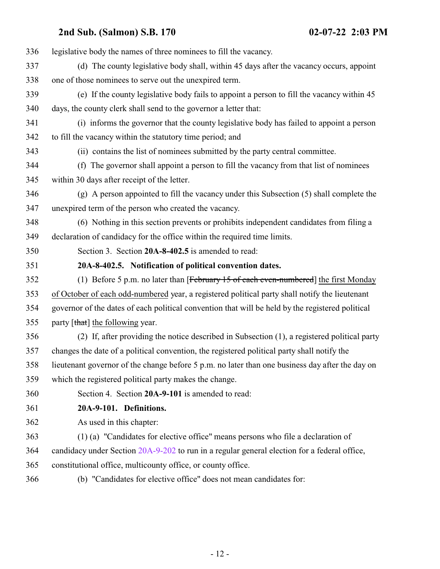<span id="page-11-1"></span><span id="page-11-0"></span>

| 336 | legislative body the names of three nominees to fill the vacancy.                                |
|-----|--------------------------------------------------------------------------------------------------|
| 337 | (d) The county legislative body shall, within 45 days after the vacancy occurs, appoint          |
| 338 | one of those nominees to serve out the unexpired term.                                           |
| 339 | (e) If the county legislative body fails to appoint a person to fill the vacancy within 45       |
| 340 | days, the county clerk shall send to the governor a letter that:                                 |
| 341 | (i) informs the governor that the county legislative body has failed to appoint a person         |
| 342 | to fill the vacancy within the statutory time period; and                                        |
| 343 | (ii) contains the list of nominees submitted by the party central committee.                     |
| 344 | (f) The governor shall appoint a person to fill the vacancy from that list of nominees           |
| 345 | within 30 days after receipt of the letter.                                                      |
| 346 | (g) A person appointed to fill the vacancy under this Subsection (5) shall complete the          |
| 347 | unexpired term of the person who created the vacancy.                                            |
| 348 | (6) Nothing in this section prevents or prohibits independent candidates from filing a           |
| 349 | declaration of candidacy for the office within the required time limits.                         |
| 350 | Section 3. Section 20A-8-402.5 is amended to read:                                               |
| 351 | 20A-8-402.5. Notification of political convention dates.                                         |
| 352 | (1) Before 5 p.m. no later than [February $15$ of each even-numbered] the first Monday           |
| 353 | of October of each odd-numbered year, a registered political party shall notify the lieutenant   |
| 354 | governor of the dates of each political convention that will be held by the registered political |
| 355 | party [that] the following year.                                                                 |
| 356 | (2) If, after providing the notice described in Subsection (1), a registered political party     |
| 357 | changes the date of a political convention, the registered political party shall notify the      |
| 358 | lieutenant governor of the change before 5 p.m. no later than one business day after the day on  |
| 359 | which the registered political party makes the change.                                           |
| 360 | Section 4. Section 20A-9-101 is amended to read:                                                 |
| 361 | 20A-9-101. Definitions.                                                                          |
| 362 | As used in this chapter:                                                                         |
| 363 | (1) (a) "Candidates for elective office" means persons who file a declaration of                 |
| 364 | candidacy under Section 20A-9-202 to run in a regular general election for a federal office,     |
| 365 | constitutional office, multicounty office, or county office.                                     |
| 366 | (b) "Candidates for elective office" does not mean candidates for:                               |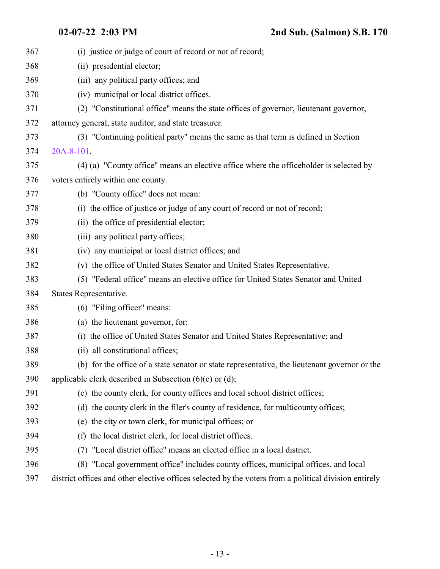| 367 | (i) justice or judge of court of record or not of record;                                             |
|-----|-------------------------------------------------------------------------------------------------------|
| 368 | (ii) presidential elector;                                                                            |
| 369 | (iii) any political party offices; and                                                                |
| 370 | (iv) municipal or local district offices.                                                             |
| 371 | (2) "Constitutional office" means the state offices of governor, lieutenant governor,                 |
| 372 | attorney general, state auditor, and state treasurer.                                                 |
| 373 | (3) "Continuing political party" means the same as that term is defined in Section                    |
| 374 | 20A-8-101.                                                                                            |
| 375 | (4) (a) "County office" means an elective office where the officeholder is selected by                |
| 376 | voters entirely within one county.                                                                    |
| 377 | (b) "County office" does not mean:                                                                    |
| 378 | (i) the office of justice or judge of any court of record or not of record;                           |
| 379 | (ii) the office of presidential elector;                                                              |
| 380 | (iii) any political party offices;                                                                    |
| 381 | (iv) any municipal or local district offices; and                                                     |
| 382 | (v) the office of United States Senator and United States Representative.                             |
| 383 | (5) "Federal office" means an elective office for United States Senator and United                    |
| 384 | States Representative.                                                                                |
| 385 | (6) "Filing officer" means:                                                                           |
| 386 | (a) the lieutenant governor, for:                                                                     |
| 387 | (i) the office of United States Senator and United States Representative; and                         |
| 388 | (ii) all constitutional offices;                                                                      |
| 389 | (b) for the office of a state senator or state representative, the lieutenant governor or the         |
| 390 | applicable clerk described in Subsection $(6)(c)$ or $(d)$ ;                                          |
| 391 | (c) the county clerk, for county offices and local school district offices;                           |
| 392 | (d) the county clerk in the filer's county of residence, for multicounty offices;                     |
| 393 | (e) the city or town clerk, for municipal offices; or                                                 |
| 394 | the local district clerk, for local district offices.<br>(f)                                          |
| 395 | "Local district office" means an elected office in a local district.<br>(7)                           |
| 396 | (8) "Local government office" includes county offices, municipal offices, and local                   |
| 397 | district offices and other elective offices selected by the voters from a political division entirely |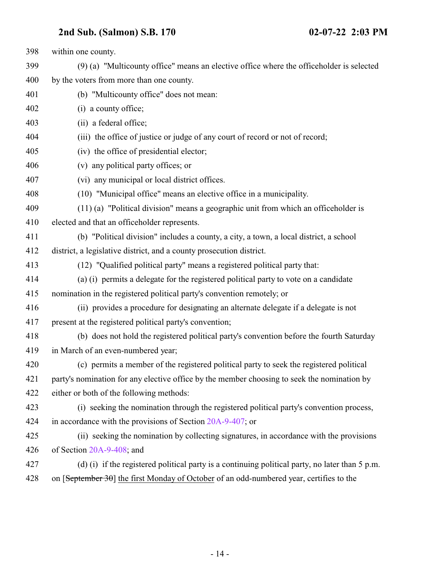| 398 | within one county.                                                                                |
|-----|---------------------------------------------------------------------------------------------------|
| 399 | (9) (a) "Multicounty office" means an elective office where the officeholder is selected          |
| 400 | by the voters from more than one county.                                                          |
| 401 | (b) "Multicounty office" does not mean:                                                           |
| 402 | (i) a county office;                                                                              |
| 403 | (ii) a federal office;                                                                            |
| 404 | (iii) the office of justice or judge of any court of record or not of record;                     |
| 405 | (iv) the office of presidential elector;                                                          |
| 406 | (v) any political party offices; or                                                               |
| 407 | (vi) any municipal or local district offices.                                                     |
| 408 | (10) "Municipal office" means an elective office in a municipality.                               |
| 409 | $(11)$ (a) "Political division" means a geographic unit from which an officeholder is             |
| 410 | elected and that an officeholder represents.                                                      |
| 411 | (b) "Political division" includes a county, a city, a town, a local district, a school            |
| 412 | district, a legislative district, and a county prosecution district.                              |
| 413 | (12) "Qualified political party" means a registered political party that:                         |
| 414 | (a) (i) permits a delegate for the registered political party to vote on a candidate              |
| 415 | nomination in the registered political party's convention remotely; or                            |
| 416 | (ii) provides a procedure for designating an alternate delegate if a delegate is not              |
| 417 | present at the registered political party's convention;                                           |
| 418 | (b) does not hold the registered political party's convention before the fourth Saturday          |
| 419 | in March of an even-numbered year;                                                                |
| 420 | (c) permits a member of the registered political party to seek the registered political           |
| 421 | party's nomination for any elective office by the member choosing to seek the nomination by       |
| 422 | either or both of the following methods:                                                          |
| 423 | (i) seeking the nomination through the registered political party's convention process,           |
| 424 | in accordance with the provisions of Section 20A-9-407; or                                        |
| 425 | (ii) seeking the nomination by collecting signatures, in accordance with the provisions           |
| 426 | of Section 20A-9-408; and                                                                         |
| 427 | (d) (i) if the registered political party is a continuing political party, no later than $5 p.m.$ |
| 428 | on [September 30] the first Monday of October of an odd-numbered year, certifies to the           |
|     |                                                                                                   |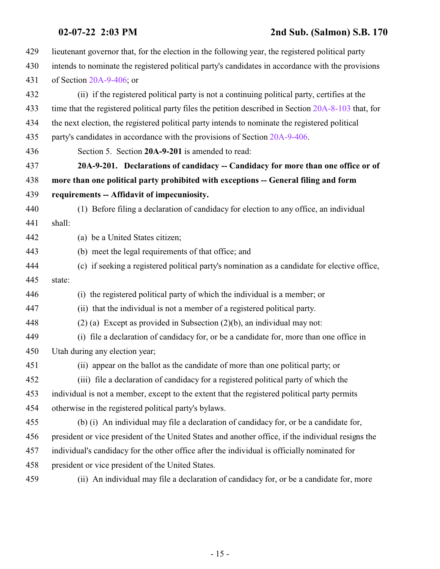<span id="page-14-0"></span>

| 429 | lieutenant governor that, for the election in the following year, the registered political party     |
|-----|------------------------------------------------------------------------------------------------------|
| 430 | intends to nominate the registered political party's candidates in accordance with the provisions    |
| 431 | of Section $20A-9-406$ ; or                                                                          |
| 432 | (ii) if the registered political party is not a continuing political party, certifies at the         |
| 433 | time that the registered political party files the petition described in Section 20A-8-103 that, for |
| 434 | the next election, the registered political party intends to nominate the registered political       |
| 435 | party's candidates in accordance with the provisions of Section 20A-9-406.                           |
| 436 | Section 5. Section 20A-9-201 is amended to read:                                                     |
| 437 | 20A-9-201. Declarations of candidacy -- Candidacy for more than one office or of                     |
| 438 | more than one political party prohibited with exceptions -- General filing and form                  |
| 439 | requirements -- Affidavit of impecuniosity.                                                          |
| 440 | (1) Before filing a declaration of candidacy for election to any office, an individual               |
| 441 | shall:                                                                                               |
| 442 | (a) be a United States citizen;                                                                      |
| 443 | (b) meet the legal requirements of that office; and                                                  |
| 444 | (c) if seeking a registered political party's nomination as a candidate for elective office,         |
| 445 | state:                                                                                               |
| 446 | (i) the registered political party of which the individual is a member; or                           |
| 447 | (ii) that the individual is not a member of a registered political party.                            |
| 448 | $(2)$ (a) Except as provided in Subsection $(2)(b)$ , an individual may not:                         |
| 449 | (i) file a declaration of candidacy for, or be a candidate for, more than one office in              |
| 450 | Utah during any election year;                                                                       |
| 451 | (ii) appear on the ballot as the candidate of more than one political party; or                      |
| 452 | (iii) file a declaration of candidacy for a registered political party of which the                  |
| 453 | individual is not a member, except to the extent that the registered political party permits         |
| 454 | otherwise in the registered political party's bylaws.                                                |
| 455 | (b) (i) An individual may file a declaration of candidacy for, or be a candidate for,                |
| 456 | president or vice president of the United States and another office, if the individual resigns the   |
| 457 | individual's candidacy for the other office after the individual is officially nominated for         |
| 458 | president or vice president of the United States.                                                    |
| 459 | (ii) An individual may file a declaration of candidacy for, or be a candidate for, more              |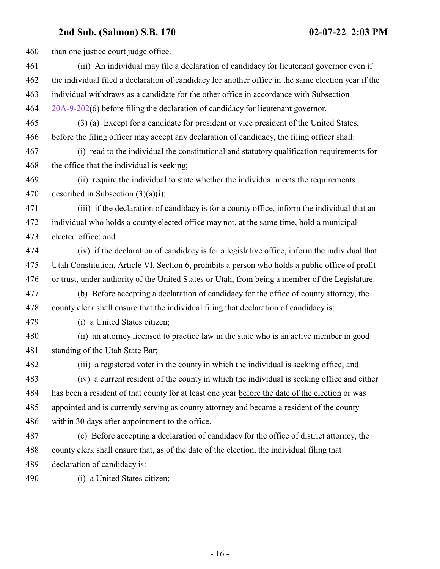460 than one justice court judge office. (iii) An individual may file a declaration of candidacy for lieutenant governor even if the individual filed a declaration of candidacy for another office in the same election year if the individual withdraws as a candidate for the other office in accordance with Subsection [20A-9-202](http://le.utah.gov/UtahCode/SectionLookup.jsp?section=20a-9-202&session=2022GS)(6) before filing the declaration of candidacy for lieutenant governor. (3) (a) Except for a candidate for president or vice president of the United States, before the filing officer may accept any declaration of candidacy, the filing officer shall: (i) read to the individual the constitutional and statutory qualification requirements for the office that the individual is seeking; (ii) require the individual to state whether the individual meets the requirements 470 described in Subsection  $(3)(a)(i)$ ; (iii) if the declaration of candidacy is for a county office, inform the individual that an individual who holds a county elected office may not, at the same time, hold a municipal elected office; and (iv) if the declaration of candidacy is for a legislative office, inform the individual that Utah Constitution, Article VI, Section 6, prohibits a person who holds a public office of profit or trust, under authority of the United States or Utah, from being a member of the Legislature. (b) Before accepting a declaration of candidacy for the office of county attorney, the county clerk shall ensure that the individual filing that declaration of candidacy is: (i) a United States citizen; (ii) an attorney licensed to practice law in the state who is an active member in good standing of the Utah State Bar; (iii) a registered voter in the county in which the individual is seeking office; and (iv) a current resident of the county in which the individual is seeking office and either has been a resident of that county for at least one year before the date of the election or was appointed and is currently serving as county attorney and became a resident of the county within 30 days after appointment to the office. (c) Before accepting a declaration of candidacy for the office of district attorney, the county clerk shall ensure that, as of the date of the election, the individual filing that declaration of candidacy is: (i) a United States citizen;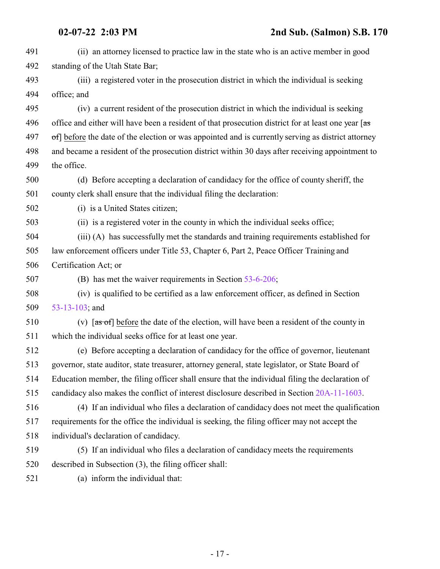| 491 | (ii) an attorney licensed to practice law in the state who is an active member in good                                                      |
|-----|---------------------------------------------------------------------------------------------------------------------------------------------|
| 492 | standing of the Utah State Bar;                                                                                                             |
| 493 | (iii) a registered voter in the prosecution district in which the individual is seeking                                                     |
| 494 | office; and                                                                                                                                 |
| 495 | (iv) a current resident of the prosecution district in which the individual is seeking                                                      |
| 496 | office and either will have been a resident of that prosecution district for at least one year [as                                          |
| 497 | of] before the date of the election or was appointed and is currently serving as district attorney                                          |
| 498 | and became a resident of the prosecution district within 30 days after receiving appointment to                                             |
| 499 | the office.                                                                                                                                 |
| 500 | (d) Before accepting a declaration of candidacy for the office of county sheriff, the                                                       |
| 501 | county clerk shall ensure that the individual filing the declaration:                                                                       |
| 502 | (i) is a United States citizen;                                                                                                             |
| 503 | (ii) is a registered voter in the county in which the individual seeks office;                                                              |
| 504 | (iii) (A) has successfully met the standards and training requirements established for                                                      |
| 505 | law enforcement officers under Title 53, Chapter 6, Part 2, Peace Officer Training and                                                      |
| 506 | Certification Act; or                                                                                                                       |
| 507 | (B) has met the waiver requirements in Section 53-6-206;                                                                                    |
| 508 | (iv) is qualified to be certified as a law enforcement officer, as defined in Section                                                       |
| 509 | 53-13-103; and                                                                                                                              |
| 510 | (v) $\left[ \frac{1}{100} \text{cm} \times \text{cm}^2 \right]$ before the date of the election, will have been a resident of the county in |
| 511 | which the individual seeks office for at least one year.                                                                                    |
| 512 | (e) Before accepting a declaration of candidacy for the office of governor, lieutenant                                                      |
| 513 | governor, state auditor, state treasurer, attorney general, state legislator, or State Board of                                             |
| 514 | Education member, the filing officer shall ensure that the individual filing the declaration of                                             |
| 515 | candidacy also makes the conflict of interest disclosure described in Section 20A-11-1603.                                                  |
| 516 | (4) If an individual who files a declaration of candidacy does not meet the qualification                                                   |
| 517 | requirements for the office the individual is seeking, the filing officer may not accept the                                                |
| 518 | individual's declaration of candidacy.                                                                                                      |
| 519 | (5) If an individual who files a declaration of candidacy meets the requirements                                                            |
| 520 | described in Subsection (3), the filing officer shall:                                                                                      |
| 521 | (a) inform the individual that:                                                                                                             |
|     |                                                                                                                                             |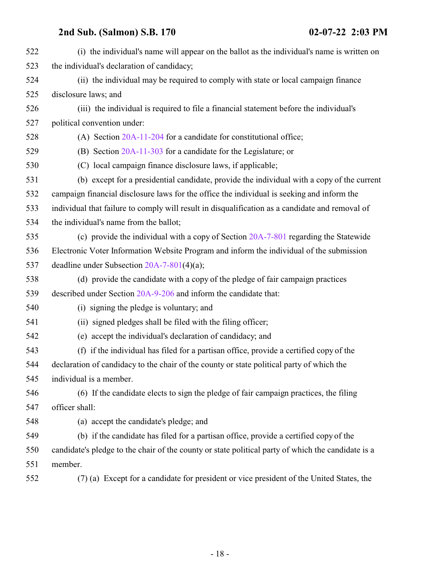| 522 | (i) the individual's name will appear on the ballot as the individual's name is written on         |
|-----|----------------------------------------------------------------------------------------------------|
| 523 | the individual's declaration of candidacy;                                                         |
| 524 | (ii) the individual may be required to comply with state or local campaign finance                 |
| 525 | disclosure laws; and                                                                               |
| 526 | (iii) the individual is required to file a financial statement before the individual's             |
| 527 | political convention under:                                                                        |
| 528 | (A) Section $20A-11-204$ for a candidate for constitutional office;                                |
| 529 | (B) Section $20A-11-303$ for a candidate for the Legislature; or                                   |
| 530 | (C) local campaign finance disclosure laws, if applicable;                                         |
| 531 | (b) except for a presidential candidate, provide the individual with a copy of the current         |
| 532 | campaign financial disclosure laws for the office the individual is seeking and inform the         |
| 533 | individual that failure to comply will result in disqualification as a candidate and removal of    |
| 534 | the individual's name from the ballot;                                                             |
| 535 | (c) provide the individual with a copy of Section 20A-7-801 regarding the Statewide                |
| 536 | Electronic Voter Information Website Program and inform the individual of the submission           |
| 537 | deadline under Subsection $20A-7-801(4)(a)$ ;                                                      |
| 538 | (d) provide the candidate with a copy of the pledge of fair campaign practices                     |
| 539 | described under Section 20A-9-206 and inform the candidate that:                                   |
| 540 | (i) signing the pledge is voluntary; and                                                           |
| 541 | (ii) signed pledges shall be filed with the filing officer;                                        |
| 542 | (e) accept the individual's declaration of candidacy; and                                          |
| 543 | (f) if the individual has filed for a partisan office, provide a certified copy of the             |
| 544 | declaration of candidacy to the chair of the county or state political party of which the          |
| 545 | individual is a member.                                                                            |
| 546 | (6) If the candidate elects to sign the pledge of fair campaign practices, the filing              |
| 547 | officer shall:                                                                                     |
| 548 | (a) accept the candidate's pledge; and                                                             |
| 549 | (b) if the candidate has filed for a partisan office, provide a certified copy of the              |
| 550 | candidate's pledge to the chair of the county or state political party of which the candidate is a |
| 551 | member.                                                                                            |
| 552 | (7) (a) Except for a candidate for president or vice president of the United States, the           |
|     |                                                                                                    |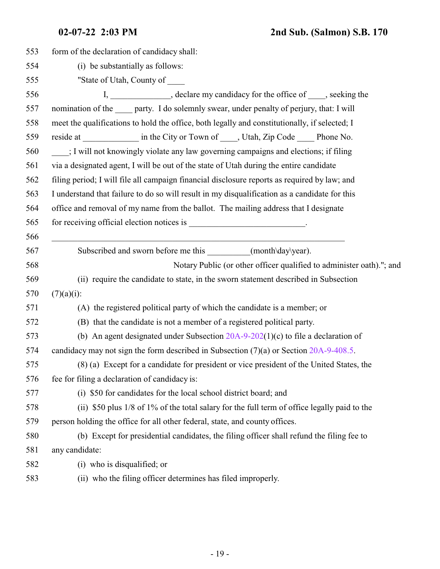| 553 | form of the declaration of candidacy shall:                                                   |
|-----|-----------------------------------------------------------------------------------------------|
| 554 | (i) be substantially as follows:                                                              |
| 555 | "State of Utah, County of _____                                                               |
| 556 | I, _____________, declare my candidacy for the office of ____, seeking the                    |
| 557 | nomination of the _____ party. I do solemnly swear, under penalty of perjury, that: I will    |
| 558 | meet the qualifications to hold the office, both legally and constitutionally, if selected; I |
| 559 | reside at ______________ in the City or Town of _____, Utah, Zip Code _____ Phone No.         |
| 560 | ; I will not knowingly violate any law governing campaigns and elections; if filing           |
| 561 | via a designated agent, I will be out of the state of Utah during the entire candidate        |
| 562 | filing period; I will file all campaign financial disclosure reports as required by law; and  |
| 563 | I understand that failure to do so will result in my disqualification as a candidate for this |
| 564 | office and removal of my name from the ballot. The mailing address that I designate           |
| 565 | for receiving official election notices is _______________________________.                   |
| 566 |                                                                                               |
| 567 | Subscribed and sworn before me this __________(month\day\year).                               |
| 568 | Notary Public (or other officer qualified to administer oath)."; and                          |
| 569 | (ii) require the candidate to state, in the sworn statement described in Subsection           |
| 570 | $(7)(a)(i)$ :                                                                                 |
| 571 | (A) the registered political party of which the candidate is a member; or                     |
| 572 | (B) that the candidate is not a member of a registered political party.                       |
| 573 | (b) An agent designated under Subsection $20A-9-202(1)(c)$ to file a declaration of           |
| 574 | candidacy may not sign the form described in Subsection $(7)(a)$ or Section 20A-9-408.5.      |
| 575 | (8) (a) Except for a candidate for president or vice president of the United States, the      |
| 576 | fee for filing a declaration of candidacy is:                                                 |
| 577 | (i) \$50 for candidates for the local school district board; and                              |
| 578 | (ii) \$50 plus 1/8 of 1% of the total salary for the full term of office legally paid to the  |
| 579 | person holding the office for all other federal, state, and county offices.                   |
| 580 | (b) Except for presidential candidates, the filing officer shall refund the filing fee to     |
| 581 | any candidate:                                                                                |
| 582 | (i) who is disqualified; or                                                                   |
| 583 | (ii) who the filing officer determines has filed improperly.                                  |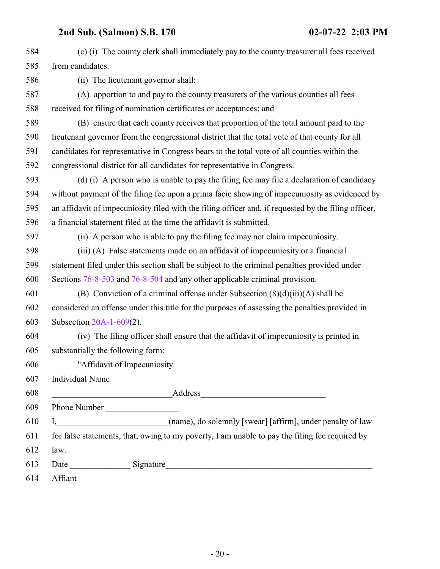| 584 | (c) (i) The county clerk shall immediately pay to the county treasurer all fees received             |
|-----|------------------------------------------------------------------------------------------------------|
| 585 | from candidates.                                                                                     |
| 586 | (ii) The lieutenant governor shall:                                                                  |
| 587 | (A) apportion to and pay to the county treasurers of the various counties all fees                   |
| 588 | received for filing of nomination certificates or acceptances; and                                   |
| 589 | (B) ensure that each county receives that proportion of the total amount paid to the                 |
| 590 | lieutenant governor from the congressional district that the total vote of that county for all       |
| 591 | candidates for representative in Congress bears to the total vote of all counties within the         |
| 592 | congressional district for all candidates for representative in Congress.                            |
| 593 | (d) (i) A person who is unable to pay the filing fee may file a declaration of candidacy             |
| 594 | without payment of the filing fee upon a prima facie showing of impecuniosity as evidenced by        |
| 595 | an affidavit of impecuniosity filed with the filing officer and, if requested by the filing officer, |
| 596 | a financial statement filed at the time the affidavit is submitted.                                  |
| 597 | (ii) A person who is able to pay the filing fee may not claim impecuniosity.                         |
| 598 | (iii) (A) False statements made on an affidavit of impecuniosity or a financial                      |
| 599 | statement filed under this section shall be subject to the criminal penalties provided under         |
| 600 | Sections 76-8-503 and 76-8-504 and any other applicable criminal provision.                          |
| 601 | (B) Conviction of a criminal offense under Subsection $(8)(d)(iii)(A)$ shall be                      |
| 602 | considered an offense under this title for the purposes of assessing the penalties provided in       |
| 603 | Subsection 20A-1-609(2).                                                                             |
| 604 | (iv) The filing officer shall ensure that the affidavit of impecuniosity is printed in               |
| 605 | substantially the following form:                                                                    |
| 606 | "Affidavit of Impecuniosity"                                                                         |
| 607 | Individual Name                                                                                      |
| 608 |                                                                                                      |
| 609 | Phone Number                                                                                         |
| 610 |                                                                                                      |
| 611 | for false statements, that, owing to my poverty, I am unable to pay the filing fee required by       |
| 612 | law.                                                                                                 |
| 613 |                                                                                                      |
| 614 | Affiant                                                                                              |
|     |                                                                                                      |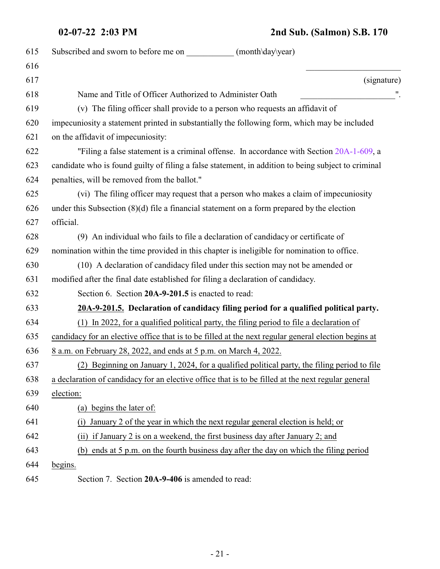### **02-07-22 2:03 PM 2nd Sub. (Salmon) S.B. 170**

<span id="page-20-1"></span><span id="page-20-0"></span>

| 615 | Subscribed and sworn to before me on<br>(month\day\year)                                             |
|-----|------------------------------------------------------------------------------------------------------|
| 616 |                                                                                                      |
| 617 | (signature)                                                                                          |
| 618 | Name and Title of Officer Authorized to Administer Oath                                              |
| 619 | (v) The filing officer shall provide to a person who requests an affidavit of                        |
| 620 | impecuniosity a statement printed in substantially the following form, which may be included         |
| 621 | on the affidavit of impecuniosity:                                                                   |
| 622 | "Filing a false statement is a criminal offense. In accordance with Section 20A-1-609, a             |
| 623 | candidate who is found guilty of filing a false statement, in addition to being subject to criminal  |
| 624 | penalties, will be removed from the ballot."                                                         |
| 625 | (vi) The filing officer may request that a person who makes a claim of impecuniosity                 |
| 626 | under this Subsection $(8)(d)$ file a financial statement on a form prepared by the election         |
| 627 | official.                                                                                            |
| 628 | (9) An individual who fails to file a declaration of candidacy or certificate of                     |
| 629 | nomination within the time provided in this chapter is ineligible for nomination to office.          |
| 630 | (10) A declaration of candidacy filed under this section may not be amended or                       |
| 631 | modified after the final date established for filing a declaration of candidacy.                     |
| 632 | Section 6. Section 20A-9-201.5 is enacted to read:                                                   |
| 633 | 20A-9-201.5. Declaration of candidacy filing period for a qualified political party.                 |
| 634 | (1) In 2022, for a qualified political party, the filing period to file a declaration of             |
| 635 | candidacy for an elective office that is to be filled at the next regular general election begins at |
| 636 | <u>8 a.m. on February 28, 2022, and ends at 5 p.m. on March 4, 2022.</u>                             |
| 637 | (2) Beginning on January 1, 2024, for a qualified political party, the filing period to file         |
| 638 | a declaration of candidacy for an elective office that is to be filled at the next regular general   |
| 639 | election:                                                                                            |
| 640 | (a) begins the later of:                                                                             |
| 641 | January 2 of the year in which the next regular general election is held; or<br>(i)                  |
| 642 | (ii) if January 2 is on a weekend, the first business day after January 2; and                       |
| 643 | (b) ends at 5 p.m. on the fourth business day after the day on which the filing period               |
| 644 | begins.                                                                                              |
| 645 | Section 7. Section 20A-9-406 is amended to read:                                                     |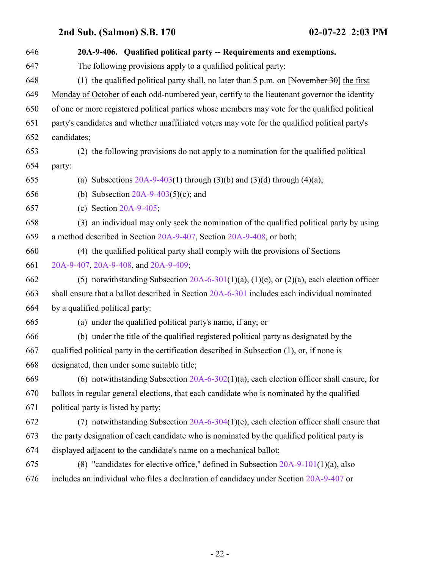| 646 | 20A-9-406. Qualified political party -- Requirements and exemptions.                            |
|-----|-------------------------------------------------------------------------------------------------|
| 647 | The following provisions apply to a qualified political party:                                  |
| 648 | (1) the qualified political party shall, no later than 5 p.m. on [November 30] the first        |
| 649 | Monday of October of each odd-numbered year, certify to the lieutenant governor the identity    |
| 650 | of one or more registered political parties whose members may vote for the qualified political  |
| 651 | party's candidates and whether unaffiliated voters may vote for the qualified political party's |
| 652 | candidates;                                                                                     |
| 653 | (2) the following provisions do not apply to a nomination for the qualified political           |
| 654 | party:                                                                                          |
| 655 | (a) Subsections $20A-9-403(1)$ through $(3)(b)$ and $(3)(d)$ through $(4)(a)$ ;                 |
| 656 | (b) Subsection $20A-9-403(5)(c)$ ; and                                                          |
| 657 | (c) Section $20A-9-405$ ;                                                                       |
| 658 | (3) an individual may only seek the nomination of the qualified political party by using        |
| 659 | a method described in Section 20A-9-407, Section 20A-9-408, or both;                            |
| 660 | (4) the qualified political party shall comply with the provisions of Sections                  |
| 661 | 20A-9-407, 20A-9-408, and 20A-9-409;                                                            |
| 662 | (5) notwithstanding Subsection $20A-6-301(1)(a)$ , (1)(e), or (2)(a), each election officer     |
| 663 | shall ensure that a ballot described in Section 20A-6-301 includes each individual nominated    |
| 664 | by a qualified political party:                                                                 |
| 665 | (a) under the qualified political party's name, if any; or                                      |
| 666 | (b) under the title of the qualified registered political party as designated by the            |
| 667 | qualified political party in the certification described in Subsection (1), or, if none is      |
| 668 | designated, then under some suitable title;                                                     |
| 669 | (6) notwithstanding Subsection $20A-6-302(1)(a)$ , each election officer shall ensure, for      |
| 670 | ballots in regular general elections, that each candidate who is nominated by the qualified     |
| 671 | political party is listed by party;                                                             |
| 672 | (7) notwithstanding Subsection $20A-6-304(1)(e)$ , each election officer shall ensure that      |
| 673 | the party designation of each candidate who is nominated by the qualified political party is    |
| 674 | displayed adjacent to the candidate's name on a mechanical ballot;                              |
| 675 | (8) "candidates for elective office," defined in Subsection $20A-9-101(1)(a)$ , also            |
| 676 | includes an individual who files a declaration of candidacy under Section 20A-9-407 or          |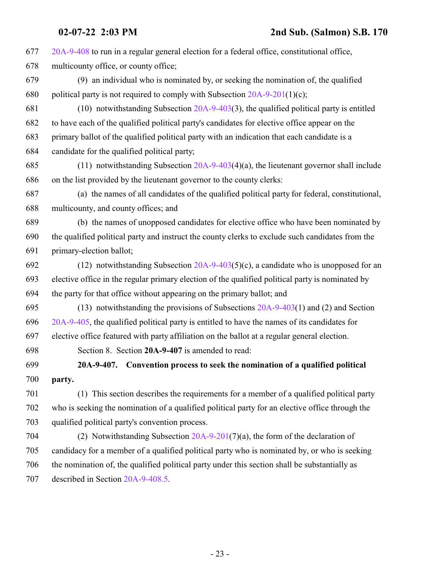<span id="page-22-0"></span> [20A-9-408](#page-24-0) to run in a regular general election for a federal office, constitutional office, multicounty office, or county office; (9) an individual who is nominated by, or seeking the nomination of, the qualified 680 political party is not required to comply with Subsection  $20A-9-201(1)(c)$ ; (10) notwithstanding Subsection [20A-9-403](http://le.utah.gov/UtahCode/SectionLookup.jsp?section=20a-9-403&session=2022GS)(3), the qualified political party is entitled to have each of the qualified political party's candidates for elective office appear on the primary ballot of the qualified political party with an indication that each candidate is a candidate for the qualified political party; (11) notwithstanding Subsection [20A-9-403](http://le.utah.gov/UtahCode/SectionLookup.jsp?section=20a-9-403&session=2022GS)(4)(a), the lieutenant governor shall include on the list provided by the lieutenant governor to the county clerks: (a) the names of all candidates of the qualified political party for federal, constitutional, multicounty, and county offices; and (b) the names of unopposed candidates for elective office who have been nominated by the qualified political party and instruct the county clerks to exclude such candidates from the primary-election ballot; 692 (12) notwithstanding Subsection  $20A-9-403(5)(c)$ , a candidate who is unopposed for an elective office in the regular primary election of the qualified political party is nominated by the party for that office without appearing on the primary ballot; and (13) notwithstanding the provisions of Subsections [20A-9-403](http://le.utah.gov/UtahCode/SectionLookup.jsp?section=20a-9-403&session=2022GS)(1) and (2) and Section [20A-9-405](http://le.utah.gov/UtahCode/SectionLookup.jsp?section=20a-9-405&session=2022GS), the qualified political party is entitled to have the names of its candidates for elective office featured with party affiliation on the ballot at a regular general election. Section 8. Section **20A-9-407** is amended to read: **20A-9-407. Convention process to seek the nomination of a qualified political party.** (1) This section describes the requirements for a member of a qualified political party who is seeking the nomination of a qualified political party for an elective office through the qualified political party's convention process. (2) Notwithstanding Subsection [20A-9-201](#page-14-0)(7)(a), the form of the declaration of candidacy for a member of a qualified political party who is nominated by, or who is seeking the nomination of, the qualified political party under this section shall be substantially as described in Section [20A-9-408.5](http://le.utah.gov/UtahCode/SectionLookup.jsp?section=20a-9-408.5&session=2022GS).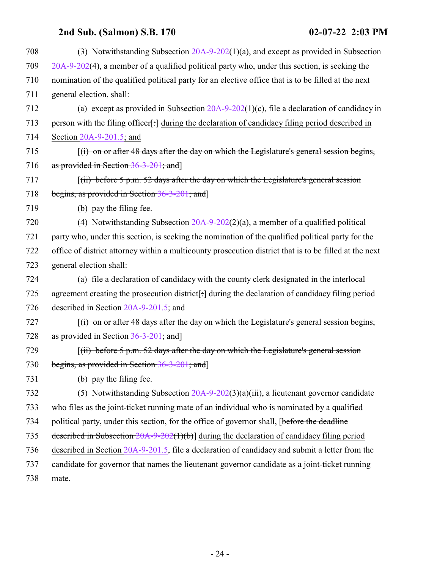| 708 | (3) Notwithstanding Subsection $20A-9-202(1)(a)$ , and except as provided in Subsection                |
|-----|--------------------------------------------------------------------------------------------------------|
| 709 | $20A-9-202(4)$ , a member of a qualified political party who, under this section, is seeking the       |
| 710 | nomination of the qualified political party for an elective office that is to be filled at the next    |
| 711 | general election, shall:                                                                               |
| 712 | (a) except as provided in Subsection $20A-9-202(1)(c)$ , file a declaration of candidacy in            |
| 713 | person with the filing officer[:] during the declaration of candidacy filing period described in       |
| 714 | Section $20A-9-201.5$ ; and                                                                            |
| 715 | $f(t)$ on or after 48 days after the day on which the Legislature's general session begins,            |
| 716 | as provided in Section 36-3-201; and]                                                                  |
| 717 | $\lceil$ (ii) before 5 p.m. 52 days after the day on which the Legislature's general session           |
| 718 | begins, as provided in Section 36-3-201; and                                                           |
| 719 | (b) pay the filing fee.                                                                                |
| 720 | (4) Notwithstanding Subsection $20A-9-202(2)(a)$ , a member of a qualified political                   |
| 721 | party who, under this section, is seeking the nomination of the qualified political party for the      |
| 722 | office of district attorney within a multicounty prosecution district that is to be filled at the next |
| 723 | general election shall:                                                                                |
| 724 | (a) file a declaration of candidacy with the county clerk designated in the interlocal                 |
| 725 | agreement creating the prosecution district[:] during the declaration of candidacy filing period       |
| 726 | described in Section $20A-9-201.5$ ; and                                                               |
| 727 | $f(t)$ on or after 48 days after the day on which the Legislature's general session begins,            |
| 728 | as provided in Section 36-3-201; and]                                                                  |
| 729 | $(iii)$ before 5 p.m. 52 days after the day on which the Legislature's general session                 |
| 730 | begins, as provided in Section 36-3-201; and]                                                          |
| 731 | (b) pay the filing fee.                                                                                |
| 732 | (5) Notwithstanding Subsection $20A-9-202(3)(a)(iii)$ , a lieutenant governor candidate                |
| 733 | who files as the joint-ticket running mate of an individual who is nominated by a qualified            |
| 734 | political party, under this section, for the office of governor shall, [before the deadline            |
| 735 | described in Subsection $20A-9-202(1)(b)$ during the declaration of candidacy filing period            |
| 736 | described in Section 20A-9-201.5, file a declaration of candidacy and submit a letter from the         |
| 737 | candidate for governor that names the lieutenant governor candidate as a joint-ticket running          |
| 738 | mate.                                                                                                  |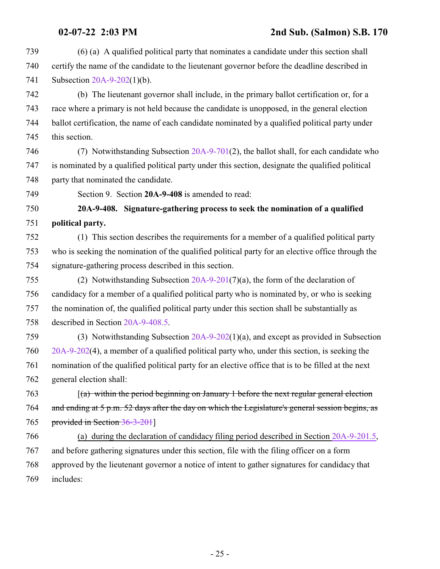- (6) (a) A qualified political party that nominates a candidate under this section shall certify the name of the candidate to the lieutenant governor before the deadline described in Subsection [20A-9-202](http://le.utah.gov/UtahCode/SectionLookup.jsp?section=20a-9-202&session=2022GS)(1)(b).
- (b) The lieutenant governor shall include, in the primary ballot certification or, for a race where a primary is not held because the candidate is unopposed, in the general election ballot certification, the name of each candidate nominated by a qualified political party under this section.
- (7) Notwithstanding Subsection [20A-9-701](http://le.utah.gov/UtahCode/SectionLookup.jsp?section=20a-9-701&session=2022GS)(2), the ballot shall, for each candidate who is nominated by a qualified political party under this section, designate the qualified political 748 party that nominated the candidate.
- <span id="page-24-0"></span>Section 9. Section **20A-9-408** is amended to read:

### **20A-9-408. Signature-gathering process to seek the nomination of a qualified political party.**

- (1) This section describes the requirements for a member of a qualified political party who is seeking the nomination of the qualified political party for an elective office through the signature-gathering process described in this section.
- (2) Notwithstanding Subsection [20A-9-201](#page-14-0)(7)(a), the form of the declaration of candidacy for a member of a qualified political party who is nominated by, or who is seeking the nomination of, the qualified political party under this section shall be substantially as described in Section [20A-9-408.5](http://le.utah.gov/UtahCode/SectionLookup.jsp?section=20a-9-408.5&session=2022GS).
- (3) Notwithstanding Subsection [20A-9-202](http://le.utah.gov/UtahCode/SectionLookup.jsp?section=20a-9-202&session=2022GS)(1)(a), and except as provided in Subsection [20A-9-202](http://le.utah.gov/UtahCode/SectionLookup.jsp?section=20a-9-202&session=2022GS)(4), a member of a qualified political party who, under this section, is seeking the nomination of the qualified political party for an elective office that is to be filled at the next general election shall:
- [(a) within the period beginning on January 1 before the next regular general election and ending at 5 p.m. 52 days after the day on which the Legislature's general session begins, as provided in Section [36-3-201](http://le.utah.gov/UtahCode/SectionLookup.jsp?section=36-3-201&session=2022GS)]
- (a) during the declaration of candidacy filing period described in Section [20A-9-201.5](#page-20-1), and before gathering signatures under this section, file with the filing officer on a form approved by the lieutenant governor a notice of intent to gather signatures for candidacy that includes: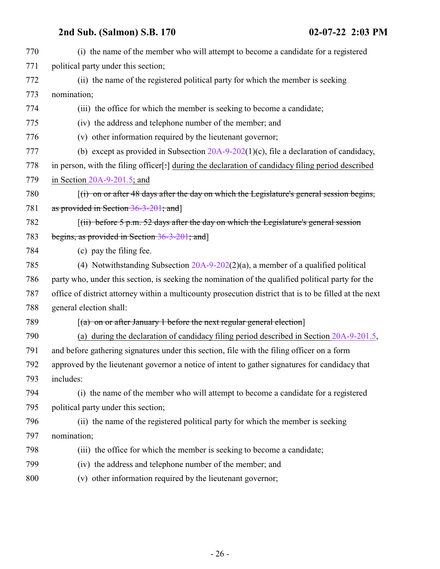| 770 | (i) the name of the member who will attempt to become a candidate for a registered                     |
|-----|--------------------------------------------------------------------------------------------------------|
| 771 | political party under this section;                                                                    |
| 772 | (ii) the name of the registered political party for which the member is seeking                        |
| 773 | nomination;                                                                                            |
| 774 | (iii) the office for which the member is seeking to become a candidate;                                |
| 775 | (iv) the address and telephone number of the member; and                                               |
| 776 | (v) other information required by the lieutenant governor;                                             |
| 777 | (b) except as provided in Subsection $20A-9-202(1)(c)$ , file a declaration of candidacy,              |
| 778 | in person, with the filing officer[:] during the declaration of candidacy filing period described      |
| 779 | in Section $20A-9-201.5$ ; and                                                                         |
| 780 | $f(t)$ on or after 48 days after the day on which the Legislature's general session begins,            |
| 781 | as provided in Section 36-3-201; and]                                                                  |
| 782 | $(iii)$ before 5 p.m. 52 days after the day on which the Legislature's general session                 |
| 783 | begins, as provided in Section 36-3-201; and]                                                          |
| 784 | (c) pay the filing fee.                                                                                |
| 785 | (4) Notwithstanding Subsection $20A-9-202(2)(a)$ , a member of a qualified political                   |
| 786 | party who, under this section, is seeking the nomination of the qualified political party for the      |
| 787 | office of district attorney within a multicounty prosecution district that is to be filled at the next |
| 788 | general election shall:                                                                                |
| 789 | $(a)$ on or after January 1 before the next regular general election                                   |
| 790 | (a) during the declaration of candidacy filing period described in Section $20A-9-201.5$ ,             |
| 791 | and before gathering signatures under this section, file with the filing officer on a form             |
| 792 | approved by the lieutenant governor a notice of intent to gather signatures for candidacy that         |
| 793 | includes:                                                                                              |
| 794 | (i) the name of the member who will attempt to become a candidate for a registered                     |
| 795 | political party under this section;                                                                    |
| 796 | (ii) the name of the registered political party for which the member is seeking                        |
| 797 | nomination;                                                                                            |
| 798 | (iii) the office for which the member is seeking to become a candidate;                                |
| 799 | (iv) the address and telephone number of the member; and                                               |
| 800 | (v) other information required by the lieutenant governor;                                             |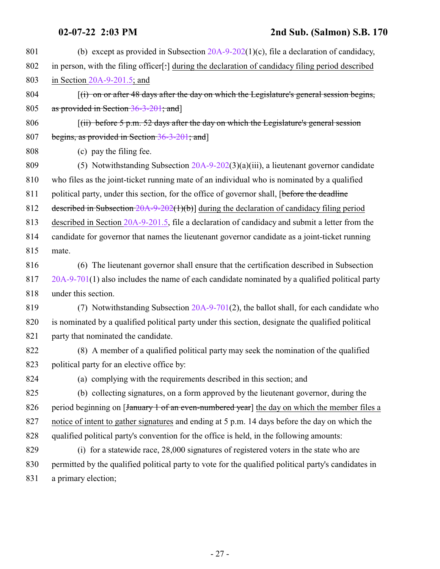| 801 | (b) except as provided in Subsection $20A-9-202(1)(c)$ , file a declaration of candidacy,            |
|-----|------------------------------------------------------------------------------------------------------|
| 802 | in person, with the filing officer[:] during the declaration of candidacy filing period described    |
| 803 | in Section $20A-9-201.5$ ; and                                                                       |
| 804 | $(i)$ on or after 48 days after the day on which the Legislature's general session begins,           |
| 805 | as provided in Section 36-3-201; and                                                                 |
| 806 | $(iii)$ before 5 p.m. 52 days after the day on which the Legislature's general session               |
| 807 | begins, as provided in Section 36-3-201; and                                                         |
| 808 | (c) pay the filing fee.                                                                              |
| 809 | (5) Notwithstanding Subsection 20A-9-202(3)(a)(iii), a lieutenant governor candidate                 |
| 810 | who files as the joint-ticket running mate of an individual who is nominated by a qualified          |
| 811 | political party, under this section, for the office of governor shall, [before the deadline          |
| 812 | described in Subsection $20A-9-202(1)(b)$ during the declaration of candidacy filing period          |
| 813 | described in Section 20A-9-201.5, file a declaration of candidacy and submit a letter from the       |
| 814 | candidate for governor that names the lieutenant governor candidate as a joint-ticket running        |
| 815 | mate.                                                                                                |
| 816 | (6) The lieutenant governor shall ensure that the certification described in Subsection              |
| 817 | $20A-9-701(1)$ also includes the name of each candidate nominated by a qualified political party     |
| 818 | under this section.                                                                                  |
| 819 | (7) Notwithstanding Subsection 20A-9-701(2), the ballot shall, for each candidate who                |
| 820 | is nominated by a qualified political party under this section, designate the qualified political    |
| 821 | party that nominated the candidate.                                                                  |
| 822 | (8) A member of a qualified political party may seek the nomination of the qualified                 |
| 823 | political party for an elective office by:                                                           |
| 824 | (a) complying with the requirements described in this section; and                                   |
| 825 | (b) collecting signatures, on a form approved by the lieutenant governor, during the                 |
| 826 | period beginning on [January 1 of an even-numbered year] the day on which the member files a         |
| 827 | notice of intent to gather signatures and ending at 5 p.m. 14 days before the day on which the       |
| 828 | qualified political party's convention for the office is held, in the following amounts:             |
| 829 | (i) for a statewide race, 28,000 signatures of registered voters in the state who are                |
| 830 | permitted by the qualified political party to vote for the qualified political party's candidates in |
| 831 | a primary election;                                                                                  |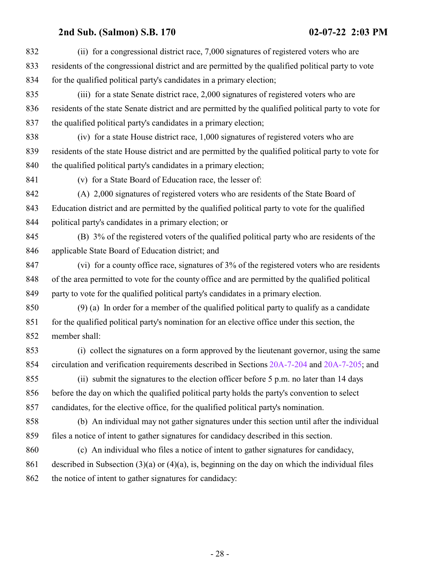| 832 | (ii) for a congressional district race, 7,000 signatures of registered voters who are                 |
|-----|-------------------------------------------------------------------------------------------------------|
| 833 | residents of the congressional district and are permitted by the qualified political party to vote    |
| 834 | for the qualified political party's candidates in a primary election;                                 |
| 835 | (iii) for a state Senate district race, 2,000 signatures of registered voters who are                 |
| 836 | residents of the state Senate district and are permitted by the qualified political party to vote for |
| 837 | the qualified political party's candidates in a primary election;                                     |
| 838 | (iv) for a state House district race, 1,000 signatures of registered voters who are                   |
| 839 | residents of the state House district and are permitted by the qualified political party to vote for  |
| 840 | the qualified political party's candidates in a primary election;                                     |
| 841 | (v) for a State Board of Education race, the lesser of:                                               |
| 842 | (A) 2,000 signatures of registered voters who are residents of the State Board of                     |
| 843 | Education district and are permitted by the qualified political party to vote for the qualified       |
| 844 | political party's candidates in a primary election; or                                                |
| 845 | (B) 3% of the registered voters of the qualified political party who are residents of the             |
| 846 | applicable State Board of Education district; and                                                     |
| 847 | (vi) for a county office race, signatures of 3% of the registered voters who are residents            |
| 848 | of the area permitted to vote for the county office and are permitted by the qualified political      |
| 849 | party to vote for the qualified political party's candidates in a primary election.                   |
| 850 | $(9)$ (a) In order for a member of the qualified political party to qualify as a candidate            |
| 851 | for the qualified political party's nomination for an elective office under this section, the         |
| 852 | member shall:                                                                                         |
| 853 | (i) collect the signatures on a form approved by the lieutenant governor, using the same              |
| 854 | circulation and verification requirements described in Sections 20A-7-204 and 20A-7-205; and          |
| 855 | (ii) submit the signatures to the election officer before 5 p.m. no later than 14 days                |
| 856 | before the day on which the qualified political party holds the party's convention to select          |
| 857 | candidates, for the elective office, for the qualified political party's nomination.                  |
| 858 | (b) An individual may not gather signatures under this section until after the individual             |
| 859 | files a notice of intent to gather signatures for candidacy described in this section.                |
| 860 | (c) An individual who files a notice of intent to gather signatures for candidacy,                    |
| 861 | described in Subsection $(3)(a)$ or $(4)(a)$ , is, beginning on the day on which the individual files |
| 862 | the notice of intent to gather signatures for candidacy:                                              |
|     |                                                                                                       |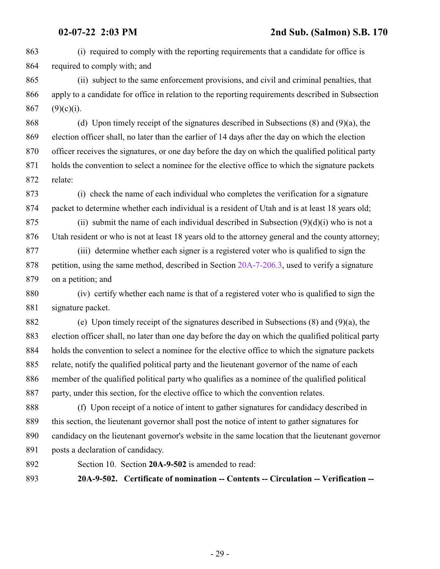(i) required to comply with the reporting requirements that a candidate for office is required to comply with; and

 (ii) subject to the same enforcement provisions, and civil and criminal penalties, that apply to a candidate for office in relation to the reporting requirements described in Subsection 867 (9)(c)(i).

 (d) Upon timely receipt of the signatures described in Subsections (8) and (9)(a), the election officer shall, no later than the earlier of 14 days after the day on which the election officer receives the signatures, or one day before the day on which the qualified political party holds the convention to select a nominee for the elective office to which the signature packets relate:

 (i) check the name of each individual who completes the verification for a signature packet to determine whether each individual is a resident of Utah and is at least 18 years old;

875 (ii) submit the name of each individual described in Subsection  $(9)(d)(i)$  who is not a Utah resident or who is not at least 18 years old to the attorney general and the county attorney;

 (iii) determine whether each signer is a registered voter who is qualified to sign the petition, using the same method, described in Section [20A-7-206.3](http://le.utah.gov/UtahCode/SectionLookup.jsp?section=20a-7-206.3&session=2022GS), used to verify a signature on a petition; and

 (iv) certify whether each name is that of a registered voter who is qualified to sign the signature packet.

 (e) Upon timely receipt of the signatures described in Subsections (8) and (9)(a), the election officer shall, no later than one day before the day on which the qualified political party holds the convention to select a nominee for the elective office to which the signature packets relate, notify the qualified political party and the lieutenant governor of the name of each member of the qualified political party who qualifies as a nominee of the qualified political party, under this section, for the elective office to which the convention relates.

 (f) Upon receipt of a notice of intent to gather signatures for candidacy described in this section, the lieutenant governor shall post the notice of intent to gather signatures for candidacy on the lieutenant governor's website in the same location that the lieutenant governor posts a declaration of candidacy.

<span id="page-28-0"></span>

Section 10. Section **20A-9-502** is amended to read:

**20A-9-502. Certificate of nomination -- Contents -- Circulation -- Verification --**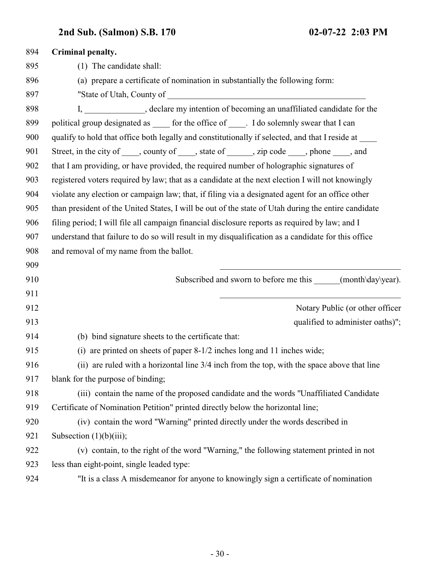| 894 | Criminal penalty.                                                                                   |
|-----|-----------------------------------------------------------------------------------------------------|
| 895 | (1) The candidate shall:                                                                            |
| 896 | (a) prepare a certificate of nomination in substantially the following form:                        |
| 897 |                                                                                                     |
| 898 | I, ______________, declare my intention of becoming an unaffiliated candidate for the               |
| 899 | political group designated as ______ for the office of _____. I do solemnly swear that I can        |
| 900 | qualify to hold that office both legally and constitutionally if selected, and that I reside at     |
| 901 | Street, in the city of _____, county of _____, state of ______, zip code _____, phone ____, and     |
| 902 | that I am providing, or have provided, the required number of holographic signatures of             |
| 903 | registered voters required by law; that as a candidate at the next election I will not knowingly    |
| 904 | violate any election or campaign law; that, if filing via a designated agent for an office other    |
| 905 | than president of the United States, I will be out of the state of Utah during the entire candidate |
| 906 | filing period; I will file all campaign financial disclosure reports as required by law; and I      |
| 907 | understand that failure to do so will result in my disqualification as a candidate for this office  |
| 908 | and removal of my name from the ballot.                                                             |
| 909 |                                                                                                     |
| 910 | Subscribed and sworn to before me this ______(month\day\year).                                      |
| 911 |                                                                                                     |
| 912 | Notary Public (or other officer                                                                     |
| 913 | qualified to administer oaths)";                                                                    |
| 914 | (b) bind signature sheets to the certificate that:                                                  |
| 915 | (i) are printed on sheets of paper 8-1/2 inches long and 11 inches wide;                            |
| 916 | (ii) are ruled with a horizontal line 3/4 inch from the top, with the space above that line         |
| 917 | blank for the purpose of binding;                                                                   |
| 918 | (iii) contain the name of the proposed candidate and the words "Unaffiliated Candidate"             |
| 919 | Certificate of Nomination Petition" printed directly below the horizontal line;                     |
| 920 | (iv) contain the word "Warning" printed directly under the words described in                       |
| 921 | Subsection $(1)(b)(iii)$ ;                                                                          |
| 922 | (v) contain, to the right of the word "Warning," the following statement printed in not             |
| 923 | less than eight-point, single leaded type:                                                          |
|     |                                                                                                     |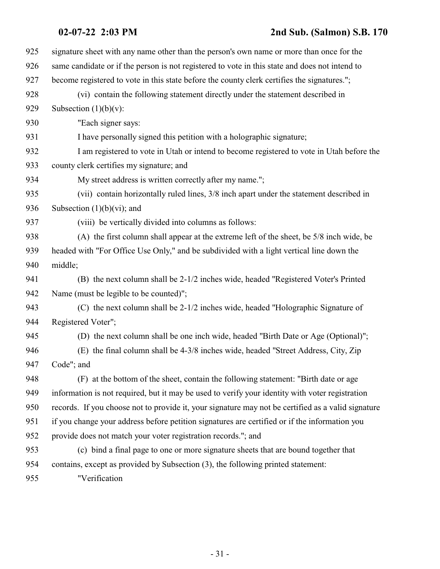### **02-07-22 2:03 PM 2nd Sub. (Salmon) S.B. 170**

| 925 | signature sheet with any name other than the person's own name or more than once for the           |
|-----|----------------------------------------------------------------------------------------------------|
| 926 | same candidate or if the person is not registered to vote in this state and does not intend to     |
| 927 | become registered to vote in this state before the county clerk certifies the signatures.";        |
| 928 | (vi) contain the following statement directly under the statement described in                     |
| 929 | Subsection $(1)(b)(v)$ :                                                                           |
| 930 | "Each signer says:                                                                                 |
| 931 | I have personally signed this petition with a holographic signature;                               |
| 932 | I am registered to vote in Utah or intend to become registered to vote in Utah before the          |
| 933 | county clerk certifies my signature; and                                                           |
| 934 | My street address is written correctly after my name.";                                            |
| 935 | (vii) contain horizontally ruled lines, 3/8 inch apart under the statement described in            |
| 936 | Subsection $(1)(b)(vi)$ ; and                                                                      |
| 937 | (viii) be vertically divided into columns as follows:                                              |
| 938 | (A) the first column shall appear at the extreme left of the sheet, be 5/8 inch wide, be           |
| 939 | headed with "For Office Use Only," and be subdivided with a light vertical line down the           |
| 940 | middle;                                                                                            |
| 941 | (B) the next column shall be 2-1/2 inches wide, headed "Registered Voter's Printed                 |
| 942 | Name (must be legible to be counted)";                                                             |
| 943 | (C) the next column shall be 2-1/2 inches wide, headed "Holographic Signature of                   |
| 944 | Registered Voter";                                                                                 |
| 945 | (D) the next column shall be one inch wide, headed "Birth Date or Age (Optional)";                 |
| 946 | (E) the final column shall be 4-3/8 inches wide, headed "Street Address, City, Zip                 |
| 947 | Code"; and                                                                                         |
| 948 | (F) at the bottom of the sheet, contain the following statement: "Birth date or age                |
| 949 | information is not required, but it may be used to verify your identity with voter registration    |
| 950 | records. If you choose not to provide it, your signature may not be certified as a valid signature |
| 951 | if you change your address before petition signatures are certified or if the information you      |
| 952 | provide does not match your voter registration records."; and                                      |
| 953 | (c) bind a final page to one or more signature sheets that are bound together that                 |
| 954 | contains, except as provided by Subsection (3), the following printed statement:                   |
| 955 | "Verification                                                                                      |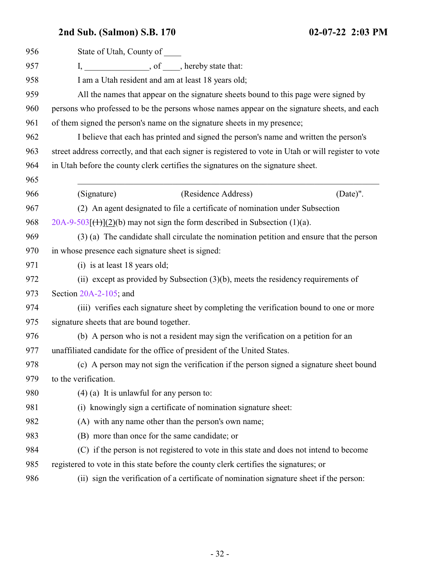| 956 | State of Utah, County of                                                                              |
|-----|-------------------------------------------------------------------------------------------------------|
| 957 | I, __________________, of _____, hereby state that:                                                   |
| 958 | I am a Utah resident and am at least 18 years old;                                                    |
| 959 | All the names that appear on the signature sheets bound to this page were signed by                   |
| 960 | persons who professed to be the persons whose names appear on the signature sheets, and each          |
| 961 | of them signed the person's name on the signature sheets in my presence;                              |
| 962 | I believe that each has printed and signed the person's name and written the person's                 |
| 963 | street address correctly, and that each signer is registered to vote in Utah or will register to vote |
| 964 | in Utah before the county clerk certifies the signatures on the signature sheet.                      |
| 965 |                                                                                                       |
| 966 | (Residence Address)<br>(Signature)<br>(Date)".                                                        |
| 967 | (2) An agent designated to file a certificate of nomination under Subsection                          |
| 968 | $20A-9-503$ [ <del>(1)</del> ](2)(b) may not sign the form described in Subsection (1)(a).            |
| 969 | (3) (a) The candidate shall circulate the nomination petition and ensure that the person              |
| 970 | in whose presence each signature sheet is signed:                                                     |
| 971 | (i) is at least 18 years old;                                                                         |
| 972 | (ii) except as provided by Subsection $(3)(b)$ , meets the residency requirements of                  |
| 973 | Section $20A-2-105$ ; and                                                                             |
| 974 | (iii) verifies each signature sheet by completing the verification bound to one or more               |
| 975 | signature sheets that are bound together.                                                             |
| 976 | (b) A person who is not a resident may sign the verification on a petition for an                     |
| 977 | unaffiliated candidate for the office of president of the United States.                              |
| 978 | (c) A person may not sign the verification if the person signed a signature sheet bound               |
| 979 | to the verification.                                                                                  |
| 980 | $(4)$ (a) It is unlawful for any person to:                                                           |
| 981 | (i) knowingly sign a certificate of nomination signature sheet:                                       |
| 982 | (A) with any name other than the person's own name;                                                   |
| 983 | (B) more than once for the same candidate; or                                                         |
| 984 | (C) if the person is not registered to vote in this state and does not intend to become               |
| 985 | registered to vote in this state before the county clerk certifies the signatures; or                 |
| 986 | (ii) sign the verification of a certificate of nomination signature sheet if the person:              |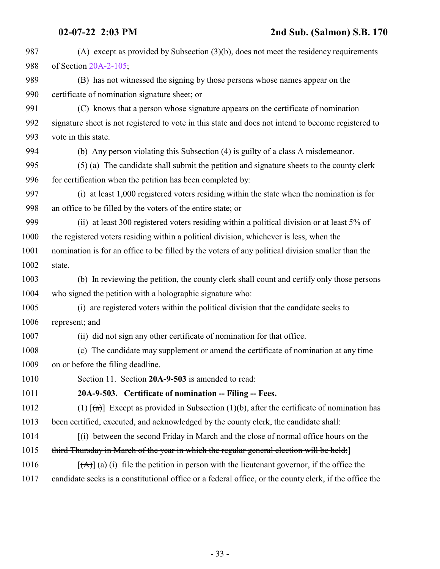<span id="page-32-0"></span>

| 987  | (A) except as provided by Subsection $(3)(b)$ , does not meet the residency requirements                 |
|------|----------------------------------------------------------------------------------------------------------|
| 988  | of Section 20A-2-105;                                                                                    |
| 989  | (B) has not witnessed the signing by those persons whose names appear on the                             |
| 990  | certificate of nomination signature sheet; or                                                            |
| 991  | (C) knows that a person whose signature appears on the certificate of nomination                         |
| 992  | signature sheet is not registered to vote in this state and does not intend to become registered to      |
| 993  | vote in this state.                                                                                      |
| 994  | (b) Any person violating this Subsection (4) is guilty of a class A misdemeanor.                         |
| 995  | (5) (a) The candidate shall submit the petition and signature sheets to the county clerk                 |
| 996  | for certification when the petition has been completed by:                                               |
| 997  | (i) at least 1,000 registered voters residing within the state when the nomination is for                |
| 998  | an office to be filled by the voters of the entire state; or                                             |
| 999  | (ii) at least 300 registered voters residing within a political division or at least 5% of               |
| 1000 | the registered voters residing within a political division, whichever is less, when the                  |
| 1001 | nomination is for an office to be filled by the voters of any political division smaller than the        |
| 1002 | state.                                                                                                   |
| 1003 | (b) In reviewing the petition, the county clerk shall count and certify only those persons               |
| 1004 | who signed the petition with a holographic signature who:                                                |
| 1005 | (i) are registered voters within the political division that the candidate seeks to                      |
| 1006 | represent; and                                                                                           |
| 1007 | (ii) did not sign any other certificate of nomination for that office.                                   |
| 1008 | (c) The candidate may supplement or amend the certificate of nomination at any time                      |
| 1009 | on or before the filing deadline.                                                                        |
| 1010 | Section 11. Section 20A-9-503 is amended to read:                                                        |
| 1011 | 20A-9-503. Certificate of nomination -- Filing -- Fees.                                                  |
| 1012 | (1) $\lceil (a) \rceil$ Except as provided in Subsection (1)(b), after the certificate of nomination has |
| 1013 | been certified, executed, and acknowledged by the county clerk, the candidate shall:                     |
| 1014 | $f(i)$ between the second Friday in March and the close of normal office hours on the                    |
| 1015 | third Thursday in March of the year in which the regular general election will be held:                  |
| 1016 | $[\vec{A}]$ (a) (i) file the petition in person with the lieutenant governor, if the office the          |
| 1017 | candidate seeks is a constitutional office or a federal office, or the county clerk, if the office the   |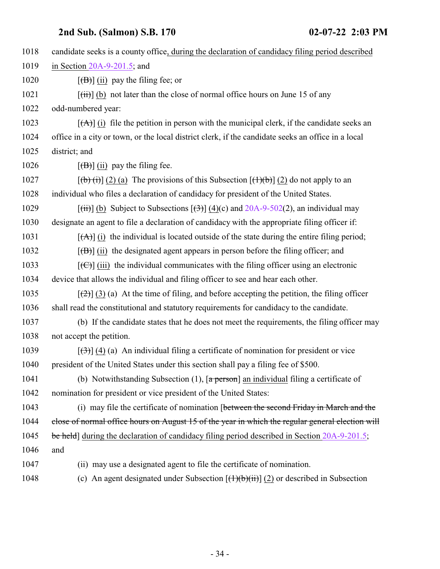| 1018 | candidate seeks is a county office, during the declaration of candidacy filing period described                          |
|------|--------------------------------------------------------------------------------------------------------------------------|
| 1019 | in Section $20A-9-201.5$ ; and                                                                                           |
| 1020 | $[\overline{(\mathbf{B})}]$ (ii) pay the filing fee; or                                                                  |
| 1021 | $[\overrightarrow{t})]$ (b) not later than the close of normal office hours on June 15 of any                            |
| 1022 | odd-numbered year:                                                                                                       |
| 1023 | $[\vec{A}]$ (i) file the petition in person with the municipal clerk, if the candidate seeks an                          |
| 1024 | office in a city or town, or the local district clerk, if the candidate seeks an office in a local                       |
| 1025 | district; and                                                                                                            |
| 1026 | $\left[\frac{1}{10}\right]$ (ii) pay the filing fee.                                                                     |
| 1027 | $[\phi(\mathbf{t})](2)$ (a) The provisions of this Subsection $[\mathbf{t}](\mathbf{t})$ (2) do not apply to an          |
| 1028 | individual who files a declaration of candidacy for president of the United States.                                      |
| 1029 | $[\overrightarrow{(ii)}]$ (b) Subject to Subsections $[\overrightarrow{(3)}]$ (4)(c) and 20A-9-502(2), an individual may |
| 1030 | designate an agent to file a declaration of candidacy with the appropriate filing officer if:                            |
| 1031 | $[({\bf A})]$ (i) the individual is located outside of the state during the entire filing period;                        |
| 1032 | $[\overline{(\mathbf{B})}]$ (ii) the designated agent appears in person before the filing officer; and                   |
| 1033 | $[\text{ }(\text{ }G)$ ] (iii) the individual communicates with the filing officer using an electronic                   |
| 1034 | device that allows the individual and filing officer to see and hear each other.                                         |
| 1035 | $[\frac{1}{2}]$ (3) (a) At the time of filing, and before accepting the petition, the filing officer                     |
| 1036 | shall read the constitutional and statutory requirements for candidacy to the candidate.                                 |
| 1037 | (b) If the candidate states that he does not meet the requirements, the filing officer may                               |
| 1038 | not accept the petition.                                                                                                 |
| 1039 | $[\left(\frac{1}{2}\right)]$ (4) (a) An individual filing a certificate of nomination for president or vice              |
| 1040 | president of the United States under this section shall pay a filing fee of \$500.                                       |
| 1041 | (b) Notwithstanding Subsection $(1)$ , $\sqrt{a}$ person $\sqrt{a}$ an individual filing a certificate of                |
| 1042 | nomination for president or vice president of the United States:                                                         |
| 1043 | (i) may file the certificate of nomination [between the second Friday in March and the                                   |
| 1044 | close of normal office hours on August 15 of the year in which the regular general election will                         |
| 1045 | be held] during the declaration of candidacy filing period described in Section 20A-9-201.5;                             |
| 1046 | and                                                                                                                      |
| 1047 | (ii) may use a designated agent to file the certificate of nomination.                                                   |
| 1048 | (c) An agent designated under Subsection $[(1)(b)(ii)]$ (2) or described in Subsection                                   |